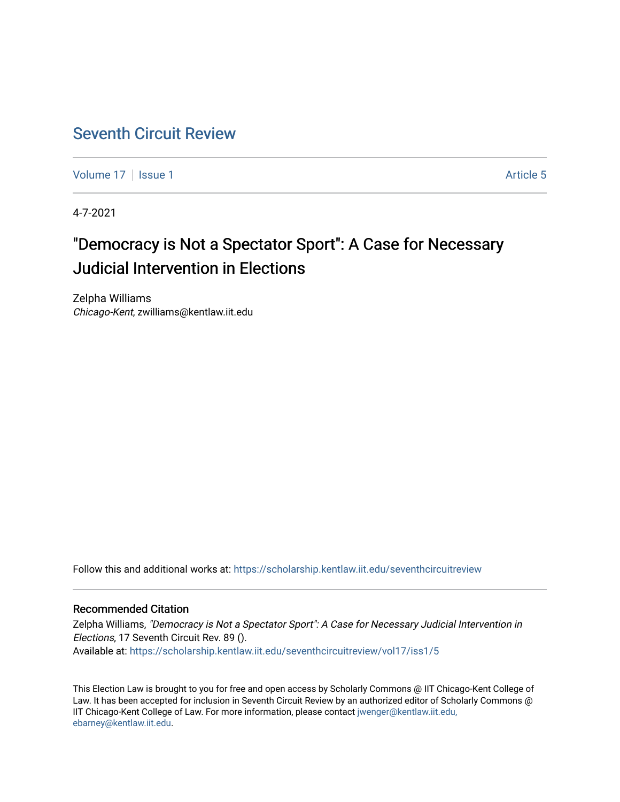# [Seventh Circuit Review](https://scholarship.kentlaw.iit.edu/seventhcircuitreview)

[Volume 17](https://scholarship.kentlaw.iit.edu/seventhcircuitreview/vol17) | [Issue 1](https://scholarship.kentlaw.iit.edu/seventhcircuitreview/vol17/iss1) Article 5

4-7-2021

# "Democracy is Not a Spectator Sport": A Case for Necessary Judicial Intervention in Elections

Zelpha Williams Chicago-Kent, zwilliams@kentlaw.iit.edu

Follow this and additional works at: [https://scholarship.kentlaw.iit.edu/seventhcircuitreview](https://scholarship.kentlaw.iit.edu/seventhcircuitreview?utm_source=scholarship.kentlaw.iit.edu%2Fseventhcircuitreview%2Fvol17%2Fiss1%2F5&utm_medium=PDF&utm_campaign=PDFCoverPages) 

# Recommended Citation

Zelpha Williams, "Democracy is Not a Spectator Sport": A Case for Necessary Judicial Intervention in Elections, 17 Seventh Circuit Rev. 89 (). Available at: [https://scholarship.kentlaw.iit.edu/seventhcircuitreview/vol17/iss1/5](https://scholarship.kentlaw.iit.edu/seventhcircuitreview/vol17/iss1/5?utm_source=scholarship.kentlaw.iit.edu%2Fseventhcircuitreview%2Fvol17%2Fiss1%2F5&utm_medium=PDF&utm_campaign=PDFCoverPages) 

This Election Law is brought to you for free and open access by Scholarly Commons @ IIT Chicago-Kent College of Law. It has been accepted for inclusion in Seventh Circuit Review by an authorized editor of Scholarly Commons @ IIT Chicago-Kent College of Law. For more information, please contact [jwenger@kentlaw.iit.edu,](mailto:jwenger@kentlaw.iit.edu,%20ebarney@kentlaw.iit.edu)  [ebarney@kentlaw.iit.edu](mailto:jwenger@kentlaw.iit.edu,%20ebarney@kentlaw.iit.edu).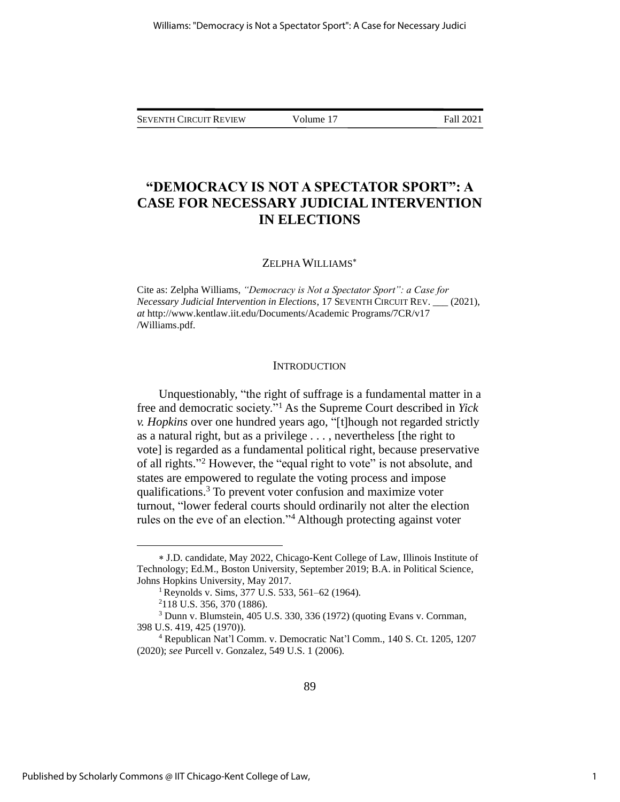SEVENTH CIRCUIT REVIEW Volume 17 Fall 2021

# **"DEMOCRACY IS NOT A SPECTATOR SPORT": A CASE FOR NECESSARY JUDICIAL INTERVENTION IN ELECTIONS**

## ZELPHA WILLIAMS

Cite as: Zelpha Williams, *"Democracy is Not a Spectator Sport": a Case for Necessary Judicial Intervention in Elections*, 17 SEVENTH CIRCUIT REV. \_\_\_ (2021), *at* http://www.kentlaw.iit.edu/Documents/Academic Programs/7CR/v17 /Williams.pdf.

#### **INTRODUCTION**

Unquestionably, "the right of suffrage is a fundamental matter in a free and democratic society."<sup>1</sup> As the Supreme Court described in *Yick v. Hopkins* over one hundred years ago, "[t]hough not regarded strictly as a natural right, but as a privilege . . . , nevertheless [the right to vote] is regarded as a fundamental political right, because preservative of all rights." <sup>2</sup> However, the "equal right to vote" is not absolute, and states are empowered to regulate the voting process and impose qualifications.<sup>3</sup> To prevent voter confusion and maximize voter turnout, "lower federal courts should ordinarily not alter the election rules on the eve of an election."<sup>4</sup> Although protecting against voter

J.D. candidate, May 2022, Chicago-Kent College of Law, Illinois Institute of Technology; Ed.M., Boston University, September 2019; B.A. in Political Science, Johns Hopkins University, May 2017.

<sup>1</sup> Reynolds v. Sims, 377 U.S. 533, 561–62 (1964).

<sup>2</sup>118 U.S. 356, 370 (1886).

<sup>3</sup> Dunn v. Blumstein, 405 U.S. 330, 336 (1972) (quoting Evans v. Cornman, 398 U.S. 419, 425 (1970)).

<sup>4</sup> Republican Nat'l Comm. v. Democratic Nat'l Comm., 140 S. Ct. 1205, 1207 (2020); *see* Purcell v. Gonzalez, 549 U.S. 1 (2006).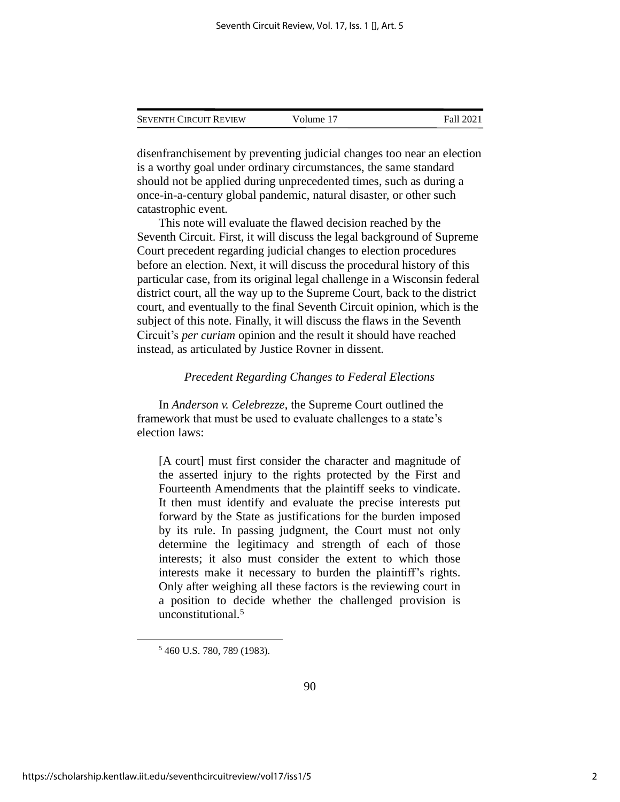| <b>SEVENTH CIRCUIT REVIEW</b> | Volume 17 | Fall 2021 |
|-------------------------------|-----------|-----------|
|                               |           |           |

disenfranchisement by preventing judicial changes too near an election is a worthy goal under ordinary circumstances, the same standard should not be applied during unprecedented times, such as during a once-in-a-century global pandemic, natural disaster, or other such catastrophic event.

This note will evaluate the flawed decision reached by the Seventh Circuit. First, it will discuss the legal background of Supreme Court precedent regarding judicial changes to election procedures before an election. Next, it will discuss the procedural history of this particular case, from its original legal challenge in a Wisconsin federal district court, all the way up to the Supreme Court, back to the district court, and eventually to the final Seventh Circuit opinion, which is the subject of this note. Finally, it will discuss the flaws in the Seventh Circuit's *per curiam* opinion and the result it should have reached instead, as articulated by Justice Rovner in dissent.

#### *Precedent Regarding Changes to Federal Elections*

In *Anderson v. Celebrezze*, the Supreme Court outlined the framework that must be used to evaluate challenges to a state's election laws:

[A court] must first consider the character and magnitude of the asserted injury to the rights protected by the First and Fourteenth Amendments that the plaintiff seeks to vindicate. It then must identify and evaluate the precise interests put forward by the State as justifications for the burden imposed by its rule. In passing judgment, the Court must not only determine the legitimacy and strength of each of those interests; it also must consider the extent to which those interests make it necessary to burden the plaintiff's rights. Only after weighing all these factors is the reviewing court in a position to decide whether the challenged provision is unconstitutional.<sup>5</sup>

<sup>5</sup> 460 U.S. 780, 789 (1983).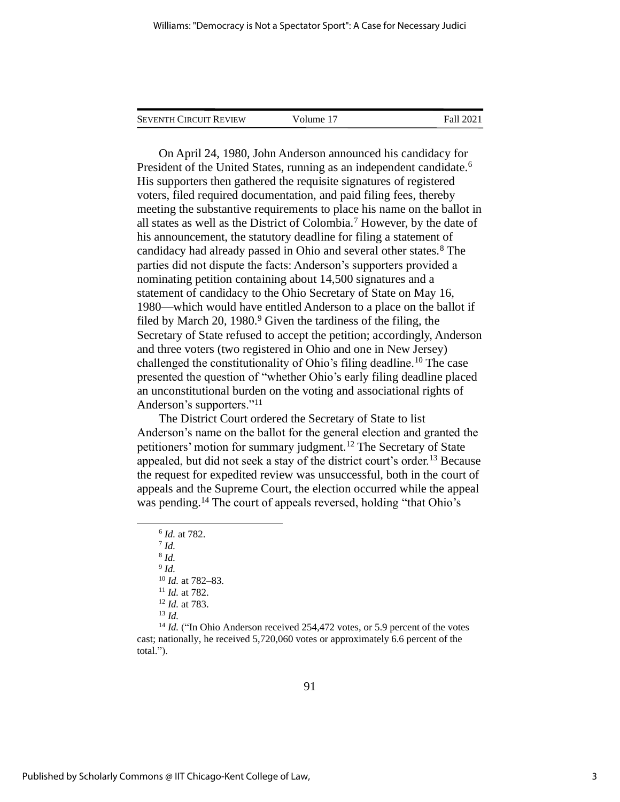| <b>SEVENTH CIRCUIT REVIEW</b> | Volume 17 | <b>Fall 2021</b> |
|-------------------------------|-----------|------------------|
|                               |           |                  |

On April 24, 1980, John Anderson announced his candidacy for President of the United States, running as an independent candidate.<sup>6</sup> His supporters then gathered the requisite signatures of registered voters, filed required documentation, and paid filing fees, thereby meeting the substantive requirements to place his name on the ballot in all states as well as the District of Colombia.<sup>7</sup> However, by the date of his announcement, the statutory deadline for filing a statement of candidacy had already passed in Ohio and several other states.<sup>8</sup> The parties did not dispute the facts: Anderson's supporters provided a nominating petition containing about 14,500 signatures and a statement of candidacy to the Ohio Secretary of State on May 16, 1980—which would have entitled Anderson to a place on the ballot if filed by March 20, 1980.<sup>9</sup> Given the tardiness of the filing, the Secretary of State refused to accept the petition; accordingly, Anderson and three voters (two registered in Ohio and one in New Jersey) challenged the constitutionality of Ohio's filing deadline.<sup>10</sup> The case presented the question of "whether Ohio's early filing deadline placed an unconstitutional burden on the voting and associational rights of Anderson's supporters."<sup>11</sup>

The District Court ordered the Secretary of State to list Anderson's name on the ballot for the general election and granted the petitioners' motion for summary judgment.<sup>12</sup> The Secretary of State appealed, but did not seek a stay of the district court's order.<sup>13</sup> Because the request for expedited review was unsuccessful, both in the court of appeals and the Supreme Court, the election occurred while the appeal was pending.<sup>14</sup> The court of appeals reversed, holding "that Ohio's

<sup>14</sup> *Id.* ("In Ohio Anderson received 254,472 votes, or 5.9 percent of the votes cast; nationally, he received 5,720,060 votes or approximately 6.6 percent of the total.").

<sup>6</sup> *Id.* at 782. 7 *Id.* 8 *Id.* 9 *Id.* <sup>10</sup> *Id.* at 782–83. <sup>11</sup> *Id.* at 782. <sup>12</sup> *Id.* at 783. <sup>13</sup> *Id.*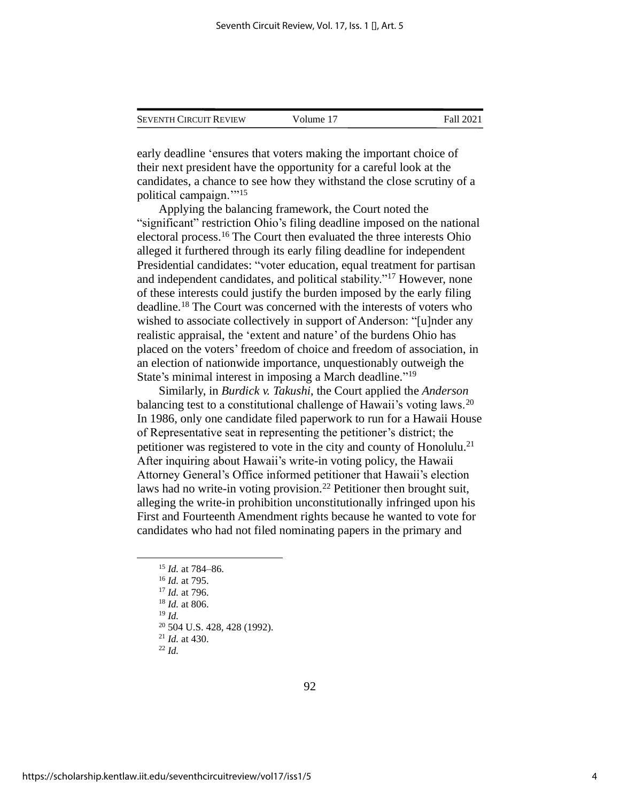| <b>SEVENTH CIRCUIT REVIEW</b> | Volume 17 | Fall 2021 |
|-------------------------------|-----------|-----------|
|                               |           |           |

early deadline 'ensures that voters making the important choice of their next president have the opportunity for a careful look at the candidates, a chance to see how they withstand the close scrutiny of a political campaign."<sup>15</sup>

Applying the balancing framework, the Court noted the "significant" restriction Ohio's filing deadline imposed on the national electoral process.<sup>16</sup> The Court then evaluated the three interests Ohio alleged it furthered through its early filing deadline for independent Presidential candidates: "voter education, equal treatment for partisan and independent candidates, and political stability."<sup>17</sup> However, none of these interests could justify the burden imposed by the early filing deadline.<sup>18</sup> The Court was concerned with the interests of voters who wished to associate collectively in support of Anderson: "[u]nder any realistic appraisal, the 'extent and nature' of the burdens Ohio has placed on the voters' freedom of choice and freedom of association, in an election of nationwide importance, unquestionably outweigh the State's minimal interest in imposing a March deadline."<sup>19</sup>

Similarly, in *Burdick v. Takushi*, the Court applied the *Anderson*  balancing test to a constitutional challenge of Hawaii's voting laws.<sup>20</sup> In 1986, only one candidate filed paperwork to run for a Hawaii House of Representative seat in representing the petitioner's district; the petitioner was registered to vote in the city and county of Honolulu.<sup>21</sup> After inquiring about Hawaii's write-in voting policy, the Hawaii Attorney General's Office informed petitioner that Hawaii's election laws had no write-in voting provision.<sup>22</sup> Petitioner then brought suit, alleging the write-in prohibition unconstitutionally infringed upon his First and Fourteenth Amendment rights because he wanted to vote for candidates who had not filed nominating papers in the primary and

<sup>19</sup> *Id.*

<sup>20</sup> 504 U.S. 428, 428 (1992).

<sup>15</sup> *Id.* at 784–86.

<sup>16</sup> *Id.* at 795.

<sup>17</sup> *Id.* at 796.

<sup>18</sup> *Id.* at 806.

<sup>21</sup> *Id.* at 430.

<sup>22</sup> *Id.*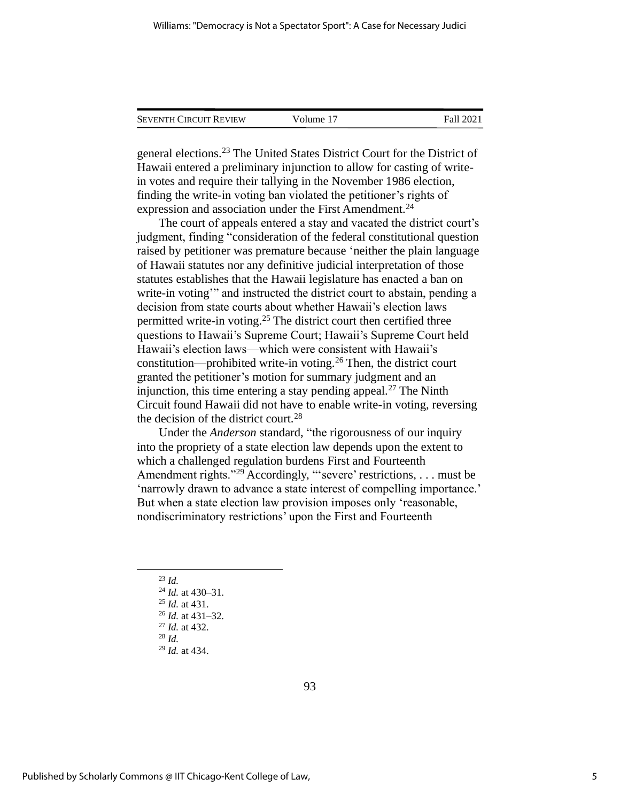| <b>SEVENTH CIRCUIT REVIEW</b> | Volume 17 | Fall 2021 |
|-------------------------------|-----------|-----------|
|                               |           |           |

general elections.<sup>23</sup> The United States District Court for the District of Hawaii entered a preliminary injunction to allow for casting of writein votes and require their tallying in the November 1986 election, finding the write-in voting ban violated the petitioner's rights of expression and association under the First Amendment.<sup>24</sup>

The court of appeals entered a stay and vacated the district court's judgment, finding "consideration of the federal constitutional question raised by petitioner was premature because 'neither the plain language of Hawaii statutes nor any definitive judicial interpretation of those statutes establishes that the Hawaii legislature has enacted a ban on write-in voting" and instructed the district court to abstain, pending a decision from state courts about whether Hawaii's election laws permitted write-in voting.<sup>25</sup> The district court then certified three questions to Hawaii's Supreme Court; Hawaii's Supreme Court held Hawaii's election laws—which were consistent with Hawaii's constitution—prohibited write-in voting.<sup>26</sup> Then, the district court granted the petitioner's motion for summary judgment and an injunction, this time entering a stay pending appeal.<sup>27</sup> The Ninth Circuit found Hawaii did not have to enable write-in voting, reversing the decision of the district court.<sup>28</sup>

Under the *Anderson* standard, "the rigorousness of our inquiry into the propriety of a state election law depends upon the extent to which a challenged regulation burdens First and Fourteenth Amendment rights."<sup>29</sup> Accordingly, "'severe' restrictions, . . . must be 'narrowly drawn to advance a state interest of compelling importance.' But when a state election law provision imposes only 'reasonable, nondiscriminatory restrictions' upon the First and Fourteenth

- <sup>23</sup> *Id.*
- <sup>24</sup> *Id.* at 430–31.
- <sup>25</sup> *Id.* at 431.
- <sup>26</sup> *Id.* at 431–32.
- <sup>27</sup> *Id.* at 432.
- <sup>28</sup> *Id.*
- <sup>29</sup> *Id.* at 434.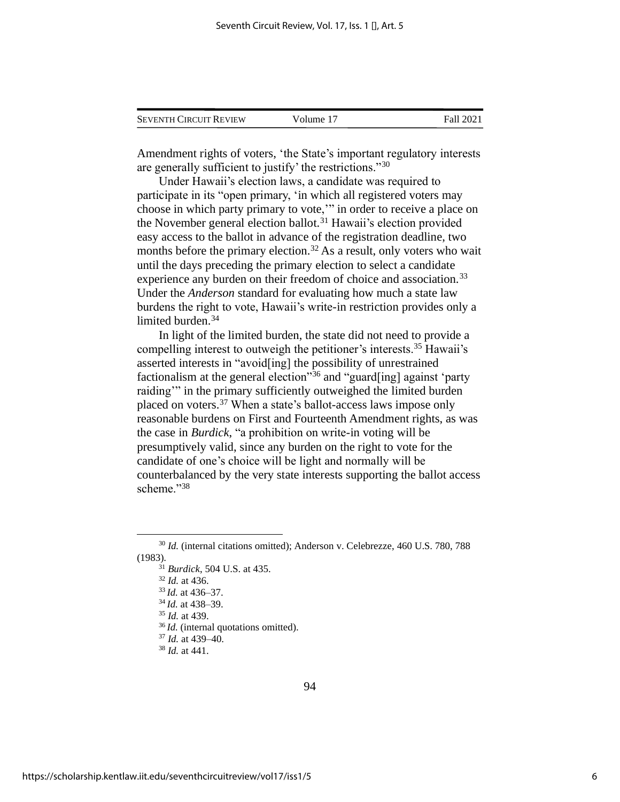| <b>SEVENTH CIRCUIT REVIEW</b> | Volume 17 | Fall 2021 |
|-------------------------------|-----------|-----------|
|                               |           |           |

Amendment rights of voters, 'the State's important regulatory interests are generally sufficient to justify' the restrictions."<sup>30</sup>

Under Hawaii's election laws, a candidate was required to participate in its "open primary, 'in which all registered voters may choose in which party primary to vote,'" in order to receive a place on the November general election ballot.<sup>31</sup> Hawaii's election provided easy access to the ballot in advance of the registration deadline, two months before the primary election.<sup>32</sup> As a result, only voters who wait until the days preceding the primary election to select a candidate experience any burden on their freedom of choice and association.<sup>33</sup> Under the *Anderson* standard for evaluating how much a state law burdens the right to vote, Hawaii's write-in restriction provides only a limited burden.<sup>34</sup>

In light of the limited burden, the state did not need to provide a compelling interest to outweigh the petitioner's interests.<sup>35</sup> Hawaii's asserted interests in "avoid[ing] the possibility of unrestrained factionalism at the general election"<sup>36</sup> and "guard[ing] against 'party raiding" in the primary sufficiently outweighed the limited burden placed on voters.<sup>37</sup> When a state's ballot-access laws impose only reasonable burdens on First and Fourteenth Amendment rights, as was the case in *Burdick*, "a prohibition on write-in voting will be presumptively valid, since any burden on the right to vote for the candidate of one's choice will be light and normally will be counterbalanced by the very state interests supporting the ballot access scheme."38

<sup>30</sup> *Id.* (internal citations omitted); Anderson v. Celebrezze, 460 U.S. 780, 788 (1983).

<sup>31</sup> *Burdick*, 504 U.S. at 435.

<sup>32</sup> *Id.* at 436.

<sup>33</sup> *Id.* at 436–37.

<sup>34</sup> *Id.* at 438–39.

<sup>35</sup> *Id.* at 439.

<sup>36</sup> *Id.* (internal quotations omitted).

<sup>37</sup> *Id.* at 439–40.

<sup>38</sup> *Id.* at 441.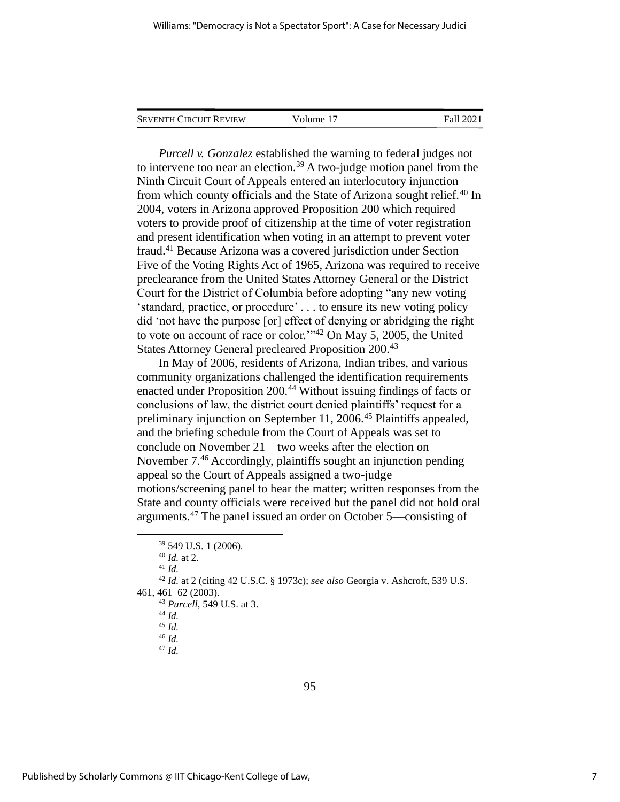| <b>SEVENTH CIRCUIT REVIEW</b> | Volume 17 | <b>Fall 2021</b> |
|-------------------------------|-----------|------------------|
|                               |           |                  |

*Purcell v. Gonzalez* established the warning to federal judges not to intervene too near an election.<sup>39</sup> A two-judge motion panel from the Ninth Circuit Court of Appeals entered an interlocutory injunction from which county officials and the State of Arizona sought relief.<sup>40</sup> In 2004, voters in Arizona approved Proposition 200 which required voters to provide proof of citizenship at the time of voter registration and present identification when voting in an attempt to prevent voter fraud.<sup>41</sup> Because Arizona was a covered jurisdiction under Section Five of the Voting Rights Act of 1965, Arizona was required to receive preclearance from the United States Attorney General or the District Court for the District of Columbia before adopting "any new voting 'standard, practice, or procedure' . . . to ensure its new voting policy did 'not have the purpose [or] effect of denying or abridging the right to vote on account of race or color.'" <sup>42</sup> On May 5, 2005, the United States Attorney General precleared Proposition 200.<sup>43</sup>

In May of 2006, residents of Arizona, Indian tribes, and various community organizations challenged the identification requirements enacted under Proposition 200.<sup>44</sup> Without issuing findings of facts or conclusions of law, the district court denied plaintiffs' request for a preliminary injunction on September 11, 2006.<sup>45</sup> Plaintiffs appealed, and the briefing schedule from the Court of Appeals was set to conclude on November 21—two weeks after the election on November 7.<sup>46</sup> Accordingly, plaintiffs sought an injunction pending appeal so the Court of Appeals assigned a two-judge motions/screening panel to hear the matter; written responses from the State and county officials were received but the panel did not hold oral arguments.<sup>47</sup> The panel issued an order on October 5—consisting of

<sup>41</sup> *Id.*

<sup>39</sup> 549 U.S. 1 (2006).

<sup>40</sup> *Id.* at 2.

<sup>42</sup> *Id.* at 2 (citing 42 U.S.C. § 1973c); *see also* Georgia v. Ashcroft, 539 U.S. 461, 461–62 (2003).

<sup>43</sup> *Purcell*, 549 U.S. at 3.

<sup>44</sup> *Id.*

<sup>45</sup> *Id.*

<sup>46</sup> *Id.*

<sup>47</sup> *Id.*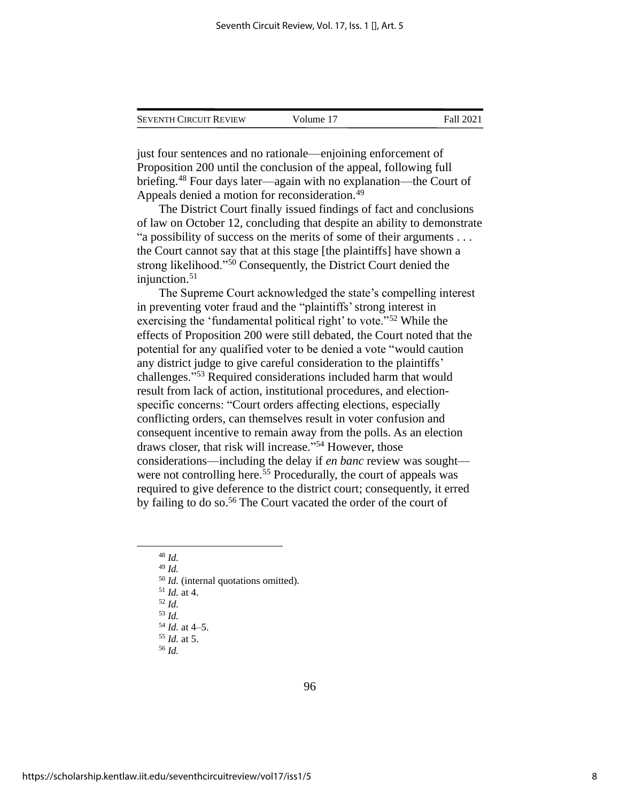| <b>SEVENTH CIRCUIT REVIEW</b> | Volume 17 | Fall 2021 |
|-------------------------------|-----------|-----------|
|                               |           |           |

just four sentences and no rationale—enjoining enforcement of Proposition 200 until the conclusion of the appeal, following full briefing.<sup>48</sup> Four days later—again with no explanation—the Court of Appeals denied a motion for reconsideration.<sup>49</sup>

The District Court finally issued findings of fact and conclusions of law on October 12, concluding that despite an ability to demonstrate "a possibility of success on the merits of some of their arguments . . . the Court cannot say that at this stage [the plaintiffs] have shown a strong likelihood."<sup>50</sup> Consequently, the District Court denied the injunction.<sup>51</sup>

The Supreme Court acknowledged the state's compelling interest in preventing voter fraud and the "plaintiffs'strong interest in exercising the 'fundamental political right' to vote."<sup>52</sup> While the effects of Proposition 200 were still debated, the Court noted that the potential for any qualified voter to be denied a vote "would caution any district judge to give careful consideration to the plaintiffs' challenges."<sup>53</sup> Required considerations included harm that would result from lack of action, institutional procedures, and electionspecific concerns: "Court orders affecting elections, especially conflicting orders, can themselves result in voter confusion and consequent incentive to remain away from the polls. As an election draws closer, that risk will increase." <sup>54</sup> However, those considerations—including the delay if *en banc* review was sought were not controlling here.<sup>55</sup> Procedurally, the court of appeals was required to give deference to the district court; consequently, it erred by failing to do so.<sup>56</sup> The Court vacated the order of the court of

<sup>48</sup> *Id.*

<sup>49</sup> *Id.*

<sup>50</sup> *Id.* (internal quotations omitted).

- <sup>51</sup> *Id.* at 4.
- <sup>52</sup> *Id.*

<sup>53</sup> *Id.*

<sup>54</sup> *Id.* at 4–5. <sup>55</sup> *Id.* at 5.

<sup>56</sup> *Id.*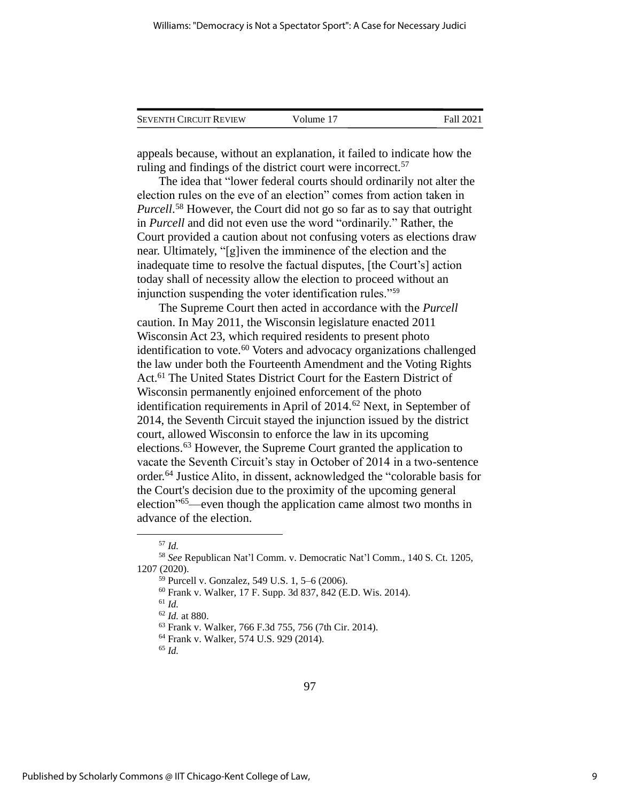| <b>SEVENTH CIRCUIT REVIEW</b> | Volume 17 | Fall 2021 |
|-------------------------------|-----------|-----------|
|                               |           |           |

appeals because, without an explanation, it failed to indicate how the ruling and findings of the district court were incorrect.<sup>57</sup>

The idea that "lower federal courts should ordinarily not alter the election rules on the eve of an election" comes from action taken in *Purcell*. <sup>58</sup> However, the Court did not go so far as to say that outright in *Purcell* and did not even use the word "ordinarily." Rather, the Court provided a caution about not confusing voters as elections draw near. Ultimately, "[g]iven the imminence of the election and the inadequate time to resolve the factual disputes, [the Court's] action today shall of necessity allow the election to proceed without an injunction suspending the voter identification rules."<sup>59</sup>

The Supreme Court then acted in accordance with the *Purcell*  caution. In May 2011, the Wisconsin legislature enacted 2011 Wisconsin Act 23, which required residents to present photo identification to vote.<sup>60</sup> Voters and advocacy organizations challenged the law under both the Fourteenth Amendment and the Voting Rights Act.<sup>61</sup> The United States District Court for the Eastern District of Wisconsin permanently enjoined enforcement of the photo identification requirements in April of 2014.<sup>62</sup> Next, in September of 2014, the Seventh Circuit stayed the injunction issued by the district court, allowed Wisconsin to enforce the law in its upcoming elections.<sup>63</sup> However, the Supreme Court granted the application to vacate the Seventh Circuit's stay in October of 2014 in a two-sentence order.<sup>64</sup> Justice Alito, in dissent, acknowledged the "colorable basis for the Court's decision due to the proximity of the upcoming general election" <sup>65</sup>—even though the application came almost two months in advance of the election.

<sup>61</sup> *Id.*

<sup>57</sup> *Id.*

<sup>58</sup> *See* Republican Nat'l Comm. v. Democratic Nat'l Comm., 140 S. Ct. 1205, 1207 (2020).

<sup>59</sup> Purcell v. Gonzalez, 549 U.S. 1, 5–6 (2006).

<sup>60</sup> Frank v. Walker, 17 F. Supp. 3d 837, 842 (E.D. Wis. 2014).

<sup>62</sup> *Id.* at 880.

<sup>63</sup> Frank v. Walker, 766 F.3d 755, 756 (7th Cir. 2014).

<sup>64</sup> Frank v. Walker, 574 U.S. 929 (2014).

<sup>65</sup> *Id.*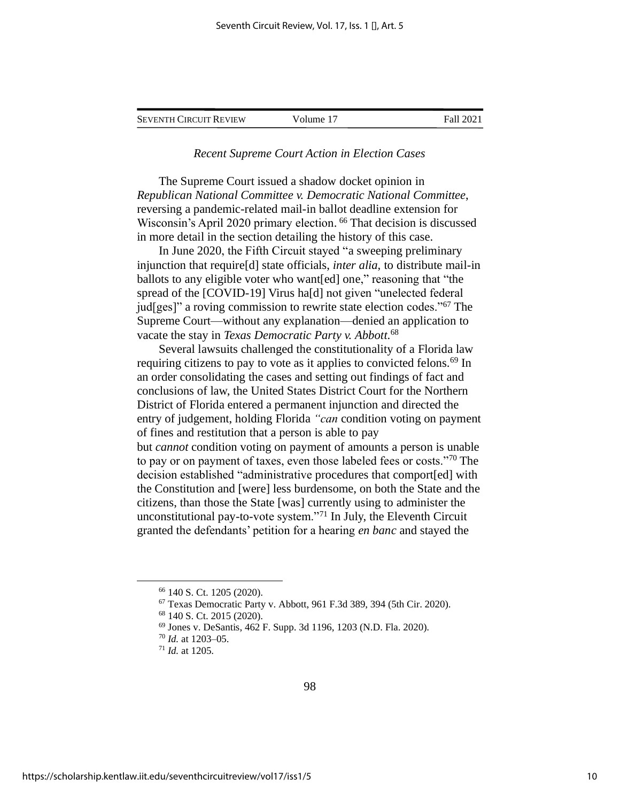| <b>SEVENTH CIRCUIT REVIEW</b> | Volume 17 | Fall 2021 |
|-------------------------------|-----------|-----------|
|-------------------------------|-----------|-----------|

# *Recent Supreme Court Action in Election Cases*

The Supreme Court issued a shadow docket opinion in *Republican National Committee v. Democratic National Committee*, reversing a pandemic-related mail-in ballot deadline extension for Wisconsin's April 2020 primary election. <sup>66</sup> That decision is discussed in more detail in the section detailing the history of this case.

In June 2020, the Fifth Circuit stayed "a sweeping preliminary injunction that require[d] state officials, *inter alia*, to distribute mail-in ballots to any eligible voter who want[ed] one," reasoning that "the spread of the [COVID-19] Virus ha[d] not given "unelected federal jud[ges]" a roving commission to rewrite state election codes."<sup>67</sup> The Supreme Court—without any explanation—denied an application to vacate the stay in *Texas Democratic Party v. Abbott*. 68

Several lawsuits challenged the constitutionality of a Florida law requiring citizens to pay to vote as it applies to convicted felons.<sup>69</sup> In an order consolidating the cases and setting out findings of fact and conclusions of law, the United States District Court for the Northern District of Florida entered a permanent injunction and directed the entry of judgement, holding Florida *"can* condition voting on payment of fines and restitution that a person is able to pay but *cannot* condition voting on payment of amounts a person is unable to pay or on payment of taxes, even those labeled fees or costs."<sup>70</sup> The decision established "administrative procedures that comport[ed] with the Constitution and [were] less burdensome, on both the State and the citizens, than those the State [was] currently using to administer the unconstitutional pay-to-vote system."<sup>71</sup> In July, the Eleventh Circuit granted the defendants' petition for a hearing *en banc* and stayed the

<sup>66</sup> 140 S. Ct. 1205 (2020).

 $67$  Texas Democratic Party v. Abbott, 961 F.3d 389, 394 (5th Cir. 2020).

<sup>68</sup> 140 S. Ct. 2015 (2020).

<sup>69</sup> Jones v. DeSantis, 462 F. Supp. 3d 1196, 1203 (N.D. Fla. 2020).

<sup>70</sup> *Id.* at 1203–05.

<sup>71</sup> *Id.* at 1205.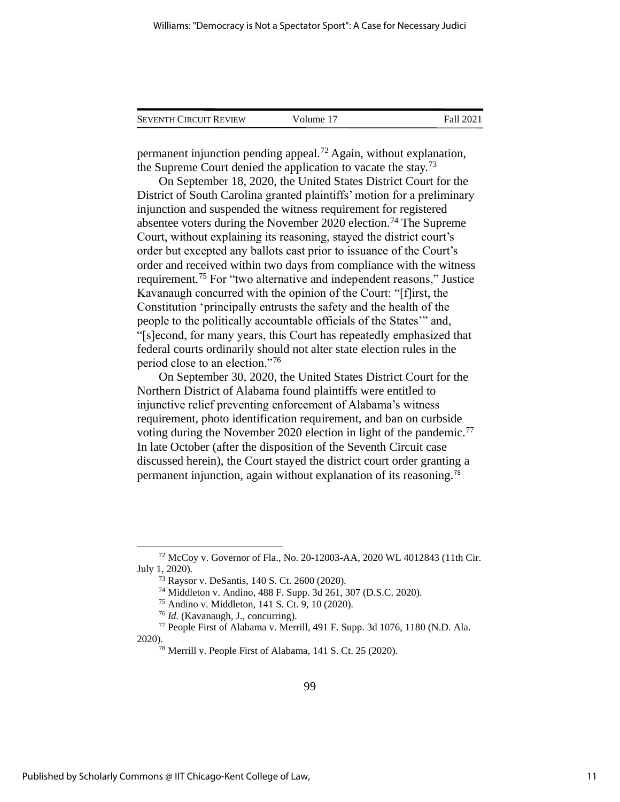| <b>SEVENTH CIRCUIT REVIEW</b> | Volume 17 | Fall 2021 |
|-------------------------------|-----------|-----------|
|                               |           |           |

permanent injunction pending appeal.<sup>72</sup> Again, without explanation, the Supreme Court denied the application to vacate the stay.<sup>73</sup>

On September 18, 2020, the United States District Court for the District of South Carolina granted plaintiffs' motion for a preliminary injunction and suspended the witness requirement for registered absentee voters during the November 2020 election.<sup>74</sup> The Supreme Court, without explaining its reasoning, stayed the district court's order but excepted any ballots cast prior to issuance of the Court's order and received within two days from compliance with the witness requirement.<sup>75</sup> For "two alternative and independent reasons," Justice Kavanaugh concurred with the opinion of the Court: "[f]irst, the Constitution 'principally entrusts the safety and the health of the people to the politically accountable officials of the States'" and, "[s]econd, for many years, this Court has repeatedly emphasized that federal courts ordinarily should not alter state election rules in the period close to an election."<sup>76</sup>

On September 30, 2020, the United States District Court for the Northern District of Alabama found plaintiffs were entitled to injunctive relief preventing enforcement of Alabama's witness requirement, photo identification requirement, and ban on curbside voting during the November 2020 election in light of the pandemic.<sup>77</sup> In late October (after the disposition of the Seventh Circuit case discussed herein), the Court stayed the district court order granting a permanent injunction, again without explanation of its reasoning.<sup>78</sup>

<sup>72</sup> McCoy v. Governor of Fla., No. 20-12003-AA, 2020 WL 4012843 (11th Cir. July 1, 2020).

<sup>73</sup> Raysor v. DeSantis, 140 S. Ct. 2600 (2020).

<sup>74</sup> Middleton v. Andino, 488 F. Supp. 3d 261, 307 (D.S.C. 2020).

<sup>75</sup> Andino v. Middleton, 141 S. Ct. 9, 10 (2020).

<sup>76</sup> *Id.* (Kavanaugh, J., concurring).

<sup>77</sup> People First of Alabama v. Merrill, 491 F. Supp. 3d 1076, 1180 (N.D. Ala. 2020).

<sup>78</sup> Merrill v. People First of Alabama, 141 S. Ct. 25 (2020).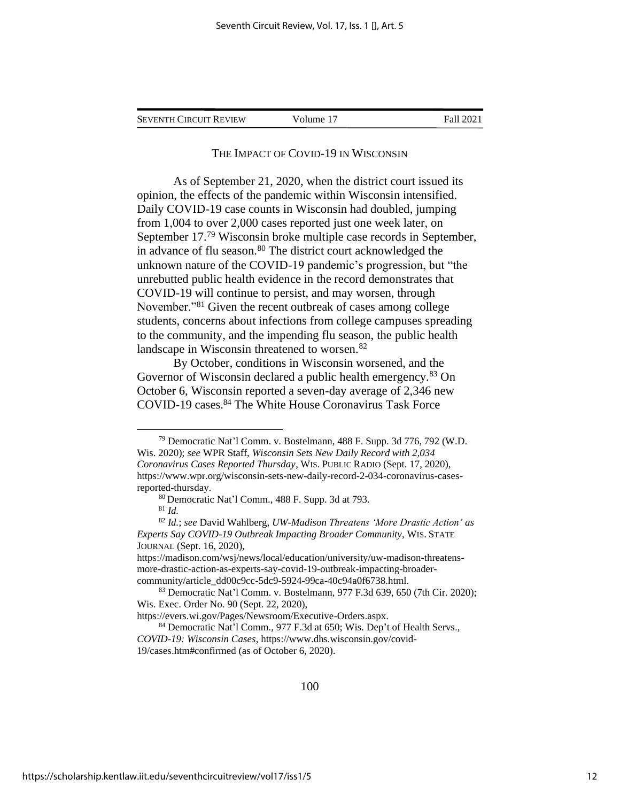| <b>SEVENTH CIRCUIT REVIEW</b> | Volume 17 | <b>Fall 2021</b> |
|-------------------------------|-----------|------------------|
|                               |           |                  |

#### THE IMPACT OF COVID-19 IN WISCONSIN

As of September 21, 2020, when the district court issued its opinion, the effects of the pandemic within Wisconsin intensified. Daily COVID-19 case counts in Wisconsin had doubled, jumping from 1,004 to over 2,000 cases reported just one week later, on September 17.<sup>79</sup> Wisconsin broke multiple case records in September, in advance of flu season.<sup>80</sup> The district court acknowledged the unknown nature of the COVID-19 pandemic's progression, but "the unrebutted public health evidence in the record demonstrates that COVID-19 will continue to persist, and may worsen, through November."<sup>81</sup> Given the recent outbreak of cases among college students, concerns about infections from college campuses spreading to the community, and the impending flu season, the public health landscape in Wisconsin threatened to worsen.<sup>82</sup>

By October, conditions in Wisconsin worsened, and the Governor of Wisconsin declared a public health emergency.<sup>83</sup> On October 6, Wisconsin reported a seven-day average of 2,346 new COVID-19 cases.<sup>84</sup> The White House Coronavirus Task Force

<sup>79</sup> Democratic Nat'l Comm. v. Bostelmann, 488 F. Supp. 3d 776, 792 (W.D. Wis. 2020); *see* WPR Staff, *Wisconsin Sets New Daily Record with 2,034 Coronavirus Cases Reported Thursday*, WIS.PUBLIC RADIO (Sept. 17, 2020), https://www.wpr.org/wisconsin-sets-new-daily-record-2-034-coronavirus-casesreported-thursday.

<sup>80</sup> Democratic Nat'l Comm., 488 F. Supp. 3d at 793.

<sup>81</sup> *Id.*

<sup>82</sup> *Id.*; *see* David Wahlberg, *UW-Madison Threatens 'More Drastic Action' as Experts Say COVID-19 Outbreak Impacting Broader Community*, WIS.STATE JOURNAL (Sept. 16, 2020),

https://madison.com/wsj/news/local/education/university/uw-madison-threatensmore-drastic-action-as-experts-say-covid-19-outbreak-impacting-broadercommunity/article\_dd00c9cc-5dc9-5924-99ca-40c94a0f6738.html.

<sup>83</sup> Democratic Nat'l Comm. v. Bostelmann, 977 F.3d 639, 650 (7th Cir. 2020); Wis. Exec. Order No. 90 (Sept. 22, 2020),

https://evers.wi.gov/Pages/Newsroom/Executive-Orders.aspx.

<sup>84</sup> Democratic Nat'l Comm., 977 F.3d at 650; Wis. Dep't of Health Servs., *COVID-19: Wisconsin Cases*, https://www.dhs.wisconsin.gov/covid-19/cases.htm#confirmed (as of October 6, 2020).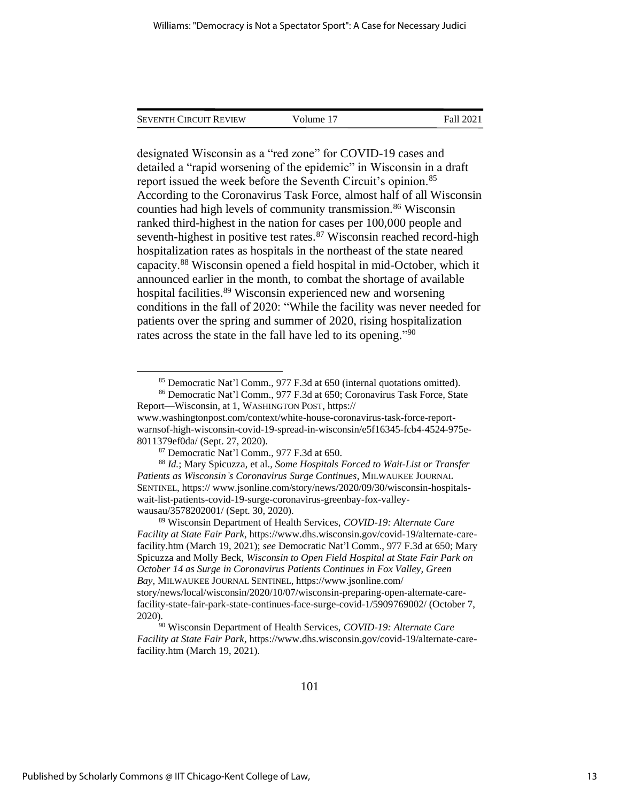| <b>SEVENTH CIRCUIT REVIEW</b> | Volume 17 | Fall 2021 |
|-------------------------------|-----------|-----------|
|                               |           |           |

designated Wisconsin as a "red zone" for COVID-19 cases and detailed a "rapid worsening of the epidemic" in Wisconsin in a draft report issued the week before the Seventh Circuit's opinion.<sup>85</sup> According to the Coronavirus Task Force, almost half of all Wisconsin counties had high levels of community transmission.<sup>86</sup> Wisconsin ranked third-highest in the nation for cases per 100,000 people and seventh-highest in positive test rates. $87$  Wisconsin reached record-high hospitalization rates as hospitals in the northeast of the state neared capacity.<sup>88</sup> Wisconsin opened a field hospital in mid-October, which it announced earlier in the month, to combat the shortage of available hospital facilities.<sup>89</sup> Wisconsin experienced new and worsening conditions in the fall of 2020: "While the facility was never needed for patients over the spring and summer of 2020, rising hospitalization rates across the state in the fall have led to its opening."<sup>90</sup>

<sup>89</sup> Wisconsin Department of Health Services, *COVID-19: Alternate Care Facility at State Fair Park*, https://www.dhs.wisconsin.gov/covid-19/alternate-carefacility.htm (March 19, 2021); *see* Democratic Nat'l Comm., 977 F.3d at 650; Mary Spicuzza and Molly Beck, *Wisconsin to Open Field Hospital at State Fair Park on October 14 as Surge in Coronavirus Patients Continues in Fox Valley, Green Bay*, MILWAUKEE JOURNAL SENTINEL, https://www.jsonline.com/ story/news/local/wisconsin/2020/10/07/wisconsin-preparing-open-alternate-carefacility-state-fair-park-state-continues-face-surge-covid-1/5909769002/ (October 7, 2020).

<sup>90</sup> Wisconsin Department of Health Services, *COVID-19: Alternate Care Facility at State Fair Park*, https://www.dhs.wisconsin.gov/covid-19/alternate-carefacility.htm (March 19, 2021).

<sup>85</sup> Democratic Nat'l Comm., 977 F.3d at 650 (internal quotations omitted).

<sup>86</sup> Democratic Nat'l Comm., 977 F.3d at 650; Coronavirus Task Force, State Report—Wisconsin, at 1, WASHINGTON POST, https://

www.washingtonpost.com/context/white-house-coronavirus-task-force-reportwarnsof-high-wisconsin-covid-19-spread-in-wisconsin/e5f16345-fcb4-4524-975e-8011379ef0da/ (Sept. 27, 2020).

<sup>87</sup> Democratic Nat'l Comm., 977 F.3d at 650.

<sup>88</sup> *Id.*; Mary Spicuzza, et al., *Some Hospitals Forced to Wait-List or Transfer Patients as Wisconsin's Coronavirus Surge Continues*, MILWAUKEE JOURNAL SENTINEL, https:// www.jsonline.com/story/news/2020/09/30/wisconsin-hospitalswait-list-patients-covid-19-surge-coronavirus-greenbay-fox-valleywausau/3578202001/ (Sept. 30, 2020).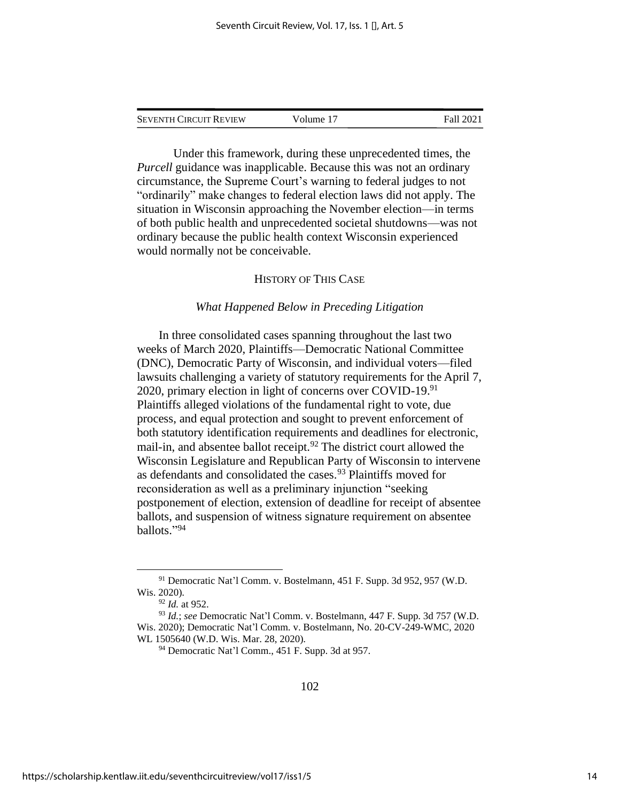| <b>SEVENTH CIRCUIT REVIEW</b> | Volume 17 | Fall 2021 |
|-------------------------------|-----------|-----------|
|                               |           |           |

Under this framework, during these unprecedented times, the *Purcell* guidance was inapplicable. Because this was not an ordinary circumstance, the Supreme Court's warning to federal judges to not "ordinarily" make changes to federal election laws did not apply. The situation in Wisconsin approaching the November election—in terms of both public health and unprecedented societal shutdowns—was not ordinary because the public health context Wisconsin experienced would normally not be conceivable.

## HISTORY OF THIS CASE

# *What Happened Below in Preceding Litigation*

In three consolidated cases spanning throughout the last two weeks of March 2020, Plaintiffs—Democratic National Committee (DNC), Democratic Party of Wisconsin, and individual voters—filed lawsuits challenging a variety of statutory requirements for the April 7, 2020, primary election in light of concerns over COVID-19.<sup>91</sup> Plaintiffs alleged violations of the fundamental right to vote, due process, and equal protection and sought to prevent enforcement of both statutory identification requirements and deadlines for electronic, mail-in, and absentee ballot receipt.<sup>92</sup> The district court allowed the Wisconsin Legislature and Republican Party of Wisconsin to intervene as defendants and consolidated the cases.<sup>93</sup> Plaintiffs moved for reconsideration as well as a preliminary injunction "seeking postponement of election, extension of deadline for receipt of absentee ballots, and suspension of witness signature requirement on absentee ballots." 94

<sup>91</sup> Democratic Nat'l Comm. v. Bostelmann, 451 F. Supp. 3d 952, 957 (W.D. Wis. 2020).

<sup>92</sup> *Id.* at 952.

<sup>93</sup> *Id.*; *see* Democratic Nat'l Comm. v. Bostelmann, 447 F. Supp. 3d 757 (W.D. Wis. 2020); Democratic Nat'l Comm. v. Bostelmann, No. 20-CV-249-WMC, 2020 WL 1505640 (W.D. Wis. Mar. 28, 2020).

<sup>94</sup> Democratic Nat'l Comm., 451 F. Supp. 3d at 957.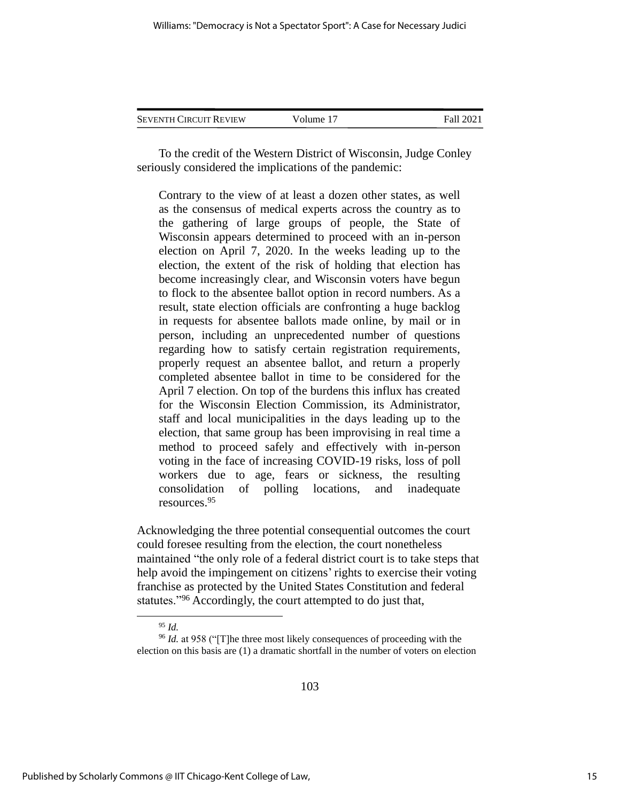| <b>SEVENTH CIRCUIT REVIEW</b> | Volume 17 | Fall 2021 |
|-------------------------------|-----------|-----------|
|                               |           |           |

To the credit of the Western District of Wisconsin, Judge Conley seriously considered the implications of the pandemic:

Contrary to the view of at least a dozen other states, as well as the consensus of medical experts across the country as to the gathering of large groups of people, the State of Wisconsin appears determined to proceed with an in-person election on April 7, 2020. In the weeks leading up to the election, the extent of the risk of holding that election has become increasingly clear, and Wisconsin voters have begun to flock to the absentee ballot option in record numbers. As a result, state election officials are confronting a huge backlog in requests for absentee ballots made online, by mail or in person, including an unprecedented number of questions regarding how to satisfy certain registration requirements, properly request an absentee ballot, and return a properly completed absentee ballot in time to be considered for the April 7 election. On top of the burdens this influx has created for the Wisconsin Election Commission, its Administrator, staff and local municipalities in the days leading up to the election, that same group has been improvising in real time a method to proceed safely and effectively with in-person voting in the face of increasing COVID-19 risks, loss of poll workers due to age, fears or sickness, the resulting consolidation of polling locations, and inadequate resources.<sup>95</sup>

Acknowledging the three potential consequential outcomes the court could foresee resulting from the election, the court nonetheless maintained "the only role of a federal district court is to take steps that help avoid the impingement on citizens' rights to exercise their voting franchise as protected by the United States Constitution and federal statutes."<sup>96</sup> Accordingly, the court attempted to do just that,

<sup>95</sup> *Id.*

<sup>96</sup> *Id.* at 958 ("[T]he three most likely consequences of proceeding with the election on this basis are (1) a dramatic shortfall in the number of voters on election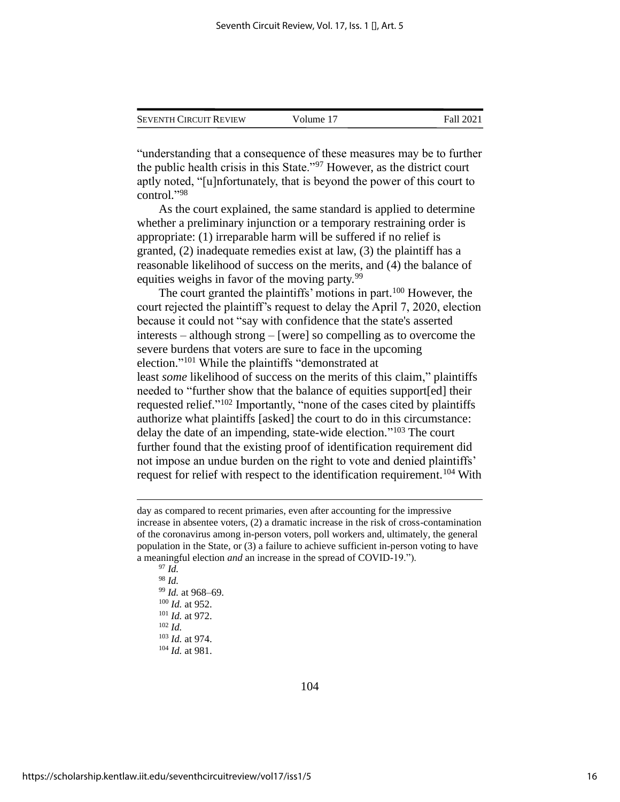| <b>SEVENTH CIRCUIT REVIEW</b> | Volume 17 | Fall 2021 |
|-------------------------------|-----------|-----------|
|                               |           |           |

"understanding that a consequence of these measures may be to further the public health crisis in this State."<sup>97</sup> However, as the district court aptly noted, "[u]nfortunately, that is beyond the power of this court to control." 98

As the court explained, the same standard is applied to determine whether a preliminary injunction or a temporary restraining order is appropriate: (1) irreparable harm will be suffered if no relief is granted, (2) inadequate remedies exist at law, (3) the plaintiff has a reasonable likelihood of success on the merits, and (4) the balance of equities weighs in favor of the moving party.<sup>99</sup>

The court granted the plaintiffs' motions in part.<sup>100</sup> However, the court rejected the plaintiff's request to delay the April 7, 2020, election because it could not "say with confidence that the state's asserted interests – although strong – [were] so compelling as to overcome the severe burdens that voters are sure to face in the upcoming election." <sup>101</sup> While the plaintiffs "demonstrated at least *some* likelihood of success on the merits of this claim," plaintiffs needed to "further show that the balance of equities support[ed] their requested relief."<sup>102</sup> Importantly, "none of the cases cited by plaintiffs authorize what plaintiffs [asked] the court to do in this circumstance: delay the date of an impending, state-wide election." <sup>103</sup> The court further found that the existing proof of identification requirement did not impose an undue burden on the right to vote and denied plaintiffs' request for relief with respect to the identification requirement.<sup>104</sup> With

 $97$  *Id.* <sup>98</sup> *Id. Id.* at 968–69. *Id.* at 952. *Id.* at 972. <sup>102</sup> *Id. Id.* at 974. *Id.* at 981.

day as compared to recent primaries, even after accounting for the impressive increase in absentee voters, (2) a dramatic increase in the risk of cross-contamination of the coronavirus among in-person voters, poll workers and, ultimately, the general population in the State, or (3) a failure to achieve sufficient in-person voting to have a meaningful election *and* an increase in the spread of COVID-19.").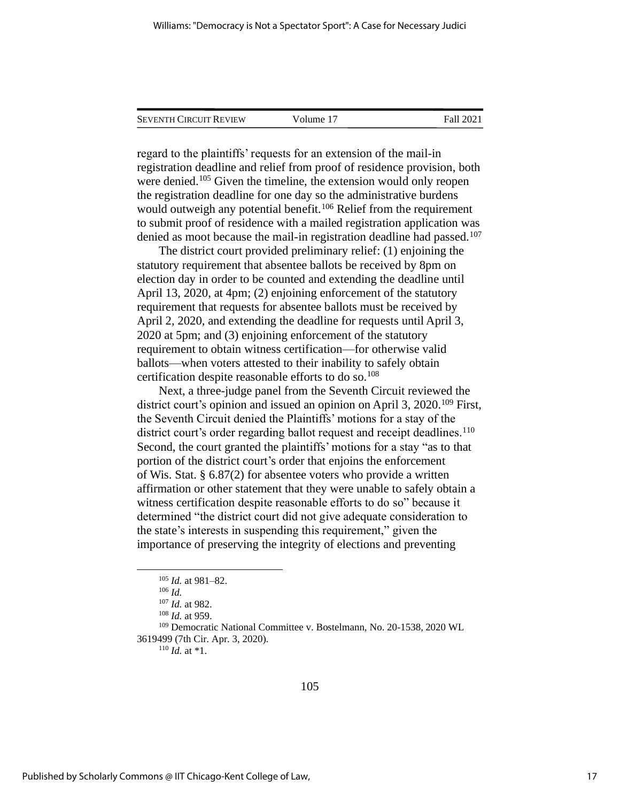| <b>SEVENTH CIRCUIT REVIEW</b> | Volume 17 | Fall 2021 |
|-------------------------------|-----------|-----------|
|                               |           |           |

regard to the plaintiffs' requests for an extension of the mail-in registration deadline and relief from proof of residence provision, both were denied.<sup>105</sup> Given the timeline, the extension would only reopen the registration deadline for one day so the administrative burdens would outweigh any potential benefit.<sup>106</sup> Relief from the requirement to submit proof of residence with a mailed registration application was denied as moot because the mail-in registration deadline had passed.<sup>107</sup>

The district court provided preliminary relief: (1) enjoining the statutory requirement that absentee ballots be received by 8pm on election day in order to be counted and extending the deadline until April 13, 2020, at 4pm; (2) enjoining enforcement of the statutory requirement that requests for absentee ballots must be received by April 2, 2020, and extending the deadline for requests until April 3, 2020 at 5pm; and (3) enjoining enforcement of the statutory requirement to obtain witness certification—for otherwise valid ballots—when voters attested to their inability to safely obtain certification despite reasonable efforts to do so.<sup>108</sup>

Next, a three-judge panel from the Seventh Circuit reviewed the district court's opinion and issued an opinion on April 3, 2020.<sup>109</sup> First, the Seventh Circuit denied the Plaintiffs' motions for a stay of the district court's order regarding ballot request and receipt deadlines.<sup>110</sup> Second, the court granted the plaintiffs' motions for a stay "as to that portion of the district court's order that enjoins the enforcement of Wis. Stat. § 6.87(2) for absentee voters who provide a written affirmation or other statement that they were unable to safely obtain a witness certification despite reasonable efforts to do so" because it determined "the district court did not give adequate consideration to the state's interests in suspending this requirement," given the importance of preserving the integrity of elections and preventing

<sup>107</sup> *Id.* at 982.

<sup>109</sup> Democratic National Committee v. Bostelmann, No. 20-1538, 2020 WL 3619499 (7th Cir. Apr. 3, 2020).

 $110$  *Id.* at \*1.

<sup>105</sup> *Id.* at 981–82.

<sup>106</sup> *Id.*

<sup>108</sup> *Id.* at 959.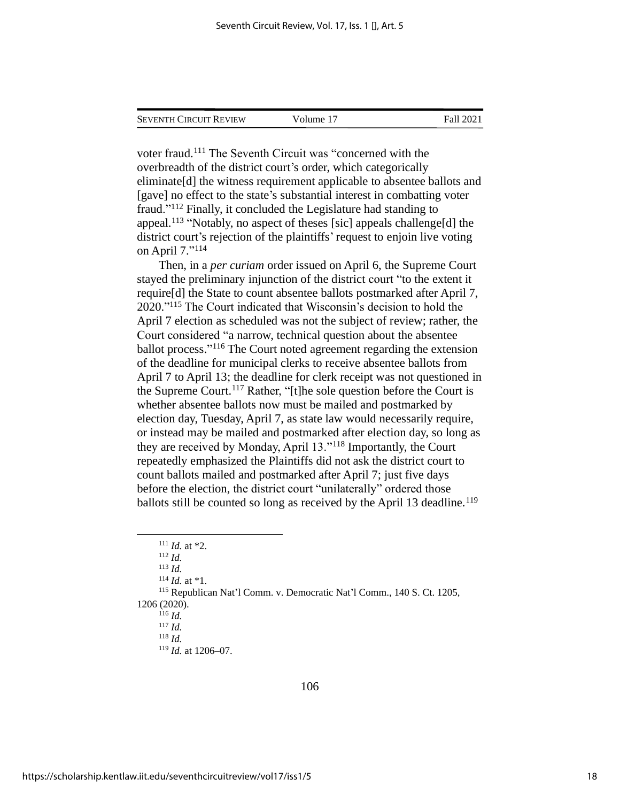| Seventh Circuit Review | Volume 17 | Fall 2021 |
|------------------------|-----------|-----------|
|                        |           |           |

voter fraud.<sup>111</sup> The Seventh Circuit was "concerned with the overbreadth of the district court's order, which categorically eliminate[d] the witness requirement applicable to absentee ballots and [gave] no effect to the state's substantial interest in combatting voter fraud."<sup>112</sup> Finally, it concluded the Legislature had standing to appeal.<sup>113</sup> "Notably, no aspect of theses [sic] appeals challenge[d] the district court's rejection of the plaintiffs' request to enjoin live voting on April 7." 114

Then, in a *per curiam* order issued on April 6, the Supreme Court stayed the preliminary injunction of the district court "to the extent it require[d] the State to count absentee ballots postmarked after April 7, 2020." <sup>115</sup> The Court indicated that Wisconsin's decision to hold the April 7 election as scheduled was not the subject of review; rather, the Court considered "a narrow, technical question about the absentee ballot process." <sup>116</sup> The Court noted agreement regarding the extension of the deadline for municipal clerks to receive absentee ballots from April 7 to April 13; the deadline for clerk receipt was not questioned in the Supreme Court.<sup>117</sup> Rather, "[t]he sole question before the Court is whether absentee ballots now must be mailed and postmarked by election day, Tuesday, April 7, as state law would necessarily require, or instead may be mailed and postmarked after election day, so long as they are received by Monday, April 13."<sup>118</sup> Importantly, the Court repeatedly emphasized the Plaintiffs did not ask the district court to count ballots mailed and postmarked after April 7; just five days before the election, the district court "unilaterally" ordered those ballots still be counted so long as received by the April 13 deadline.<sup>119</sup>

<sup>111</sup> *Id.* at \*2. <sup>112</sup> *Id.*

<sup>113</sup> *Id.*

 $114$  *Id.* at \*1.

<sup>115</sup> Republican Nat'l Comm. v. Democratic Nat'l Comm., 140 S. Ct. 1205,

<sup>1206 (2020).</sup> <sup>116</sup> *Id.*

<sup>117</sup> *Id.*

<sup>118</sup> *Id.*

<sup>119</sup> *Id.* at 1206–07.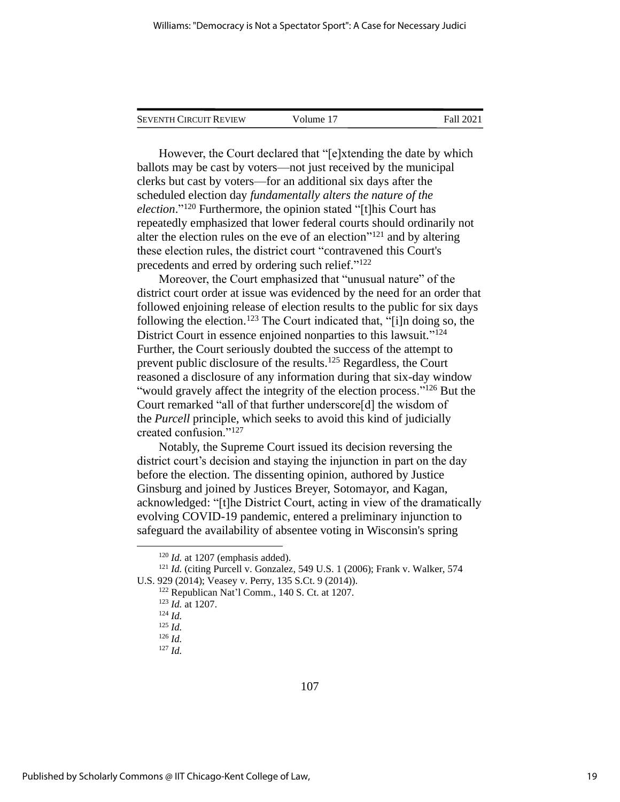| <b>SEVENTH CIRCUIT REVIEW</b> | Volume 17 | Fall 2021 |
|-------------------------------|-----------|-----------|
|                               |           |           |

However, the Court declared that "[e]xtending the date by which ballots may be cast by voters—not just received by the municipal clerks but cast by voters—for an additional six days after the scheduled election day *fundamentally alters the nature of the election*." <sup>120</sup> Furthermore, the opinion stated "[t]his Court has repeatedly emphasized that lower federal courts should ordinarily not alter the election rules on the eve of an election $"^{121}$  and by altering these election rules, the district court "contravened this Court's precedents and erred by ordering such relief."<sup>122</sup>

Moreover, the Court emphasized that "unusual nature" of the district court order at issue was evidenced by the need for an order that followed enjoining release of election results to the public for six days following the election. <sup>123</sup> The Court indicated that, "[i]n doing so, the District Court in essence enjoined nonparties to this lawsuit."<sup>124</sup> Further, the Court seriously doubted the success of the attempt to prevent public disclosure of the results.<sup>125</sup> Regardless, the Court reasoned a disclosure of any information during that six-day window "would gravely affect the integrity of the election process."<sup>126</sup> But the Court remarked "all of that further underscore[d] the wisdom of the *Purcell* principle, which seeks to avoid this kind of judicially created confusion."<sup>127</sup>

Notably, the Supreme Court issued its decision reversing the district court's decision and staying the injunction in part on the day before the election. The dissenting opinion, authored by Justice Ginsburg and joined by Justices Breyer, Sotomayor, and Kagan, acknowledged: "[t]he District Court, acting in view of the dramatically evolving COVID-19 pandemic, entered a preliminary injunction to safeguard the availability of absentee voting in Wisconsin's spring

<sup>&</sup>lt;sup>120</sup> *Id.* at 1207 (emphasis added).

<sup>121</sup> *Id.* (citing Purcell v. Gonzalez, 549 U.S. 1 (2006); Frank v. Walker, 574 U.S. 929 (2014); Veasey v. Perry, 135 S.Ct. 9 (2014)).

<sup>122</sup> Republican Nat'l Comm., 140 S. Ct. at 1207.

<sup>123</sup> *Id.* at 1207.

<sup>124</sup> *Id.*

<sup>125</sup> *Id.*

<sup>126</sup> *Id.*

<sup>127</sup> *Id.*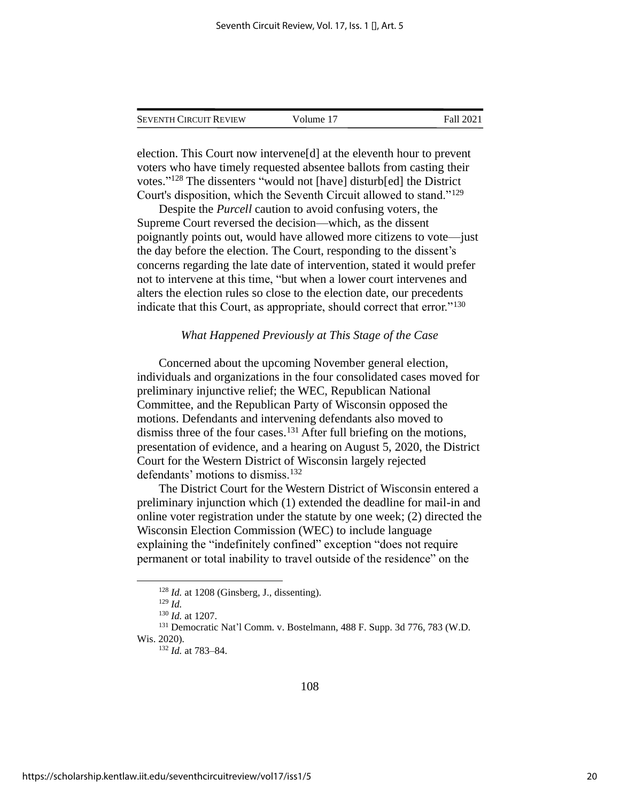| <b>SEVENTH CIRCUIT REVIEW</b> | Volume 17 | Fall 2021 |
|-------------------------------|-----------|-----------|
|                               |           |           |

election. This Court now intervene[d] at the eleventh hour to prevent voters who have timely requested absentee ballots from casting their votes." <sup>128</sup> The dissenters "would not [have] disturb[ed] the District Court's disposition, which the Seventh Circuit allowed to stand."<sup>129</sup>

Despite the *Purcell* caution to avoid confusing voters, the Supreme Court reversed the decision—which, as the dissent poignantly points out, would have allowed more citizens to vote—just the day before the election. The Court, responding to the dissent's concerns regarding the late date of intervention, stated it would prefer not to intervene at this time, "but when a lower court intervenes and alters the election rules so close to the election date, our precedents indicate that this Court, as appropriate, should correct that error."<sup>130</sup>

## *What Happened Previously at This Stage of the Case*

Concerned about the upcoming November general election, individuals and organizations in the four consolidated cases moved for preliminary injunctive relief; the WEC, Republican National Committee, and the Republican Party of Wisconsin opposed the motions. Defendants and intervening defendants also moved to dismiss three of the four cases.<sup>131</sup> After full briefing on the motions, presentation of evidence, and a hearing on August 5, 2020, the District Court for the Western District of Wisconsin largely rejected defendants' motions to dismiss.<sup>132</sup>

The District Court for the Western District of Wisconsin entered a preliminary injunction which (1) extended the deadline for mail-in and online voter registration under the statute by one week; (2) directed the Wisconsin Election Commission (WEC) to include language explaining the "indefinitely confined" exception "does not require permanent or total inability to travel outside of the residence" on the

<sup>128</sup> *Id.* at 1208 (Ginsberg, J., dissenting).

<sup>129</sup> *Id.*

<sup>130</sup> *Id.* at 1207.

<sup>131</sup> Democratic Nat'l Comm. v. Bostelmann, 488 F. Supp. 3d 776, 783 (W.D. Wis. 2020).

<sup>132</sup> *Id.* at 783–84.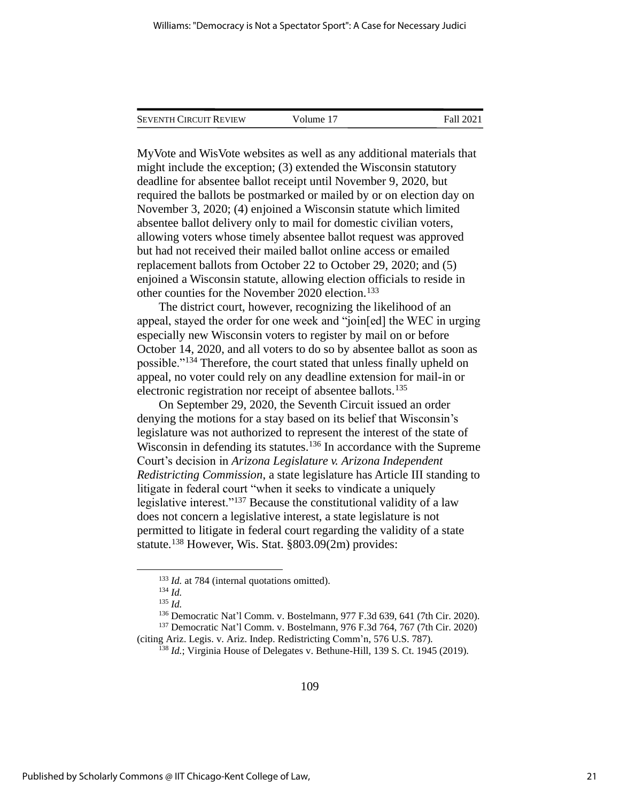| <b>SEVENTH CIRCUIT REVIEW</b> | Volume 17 | Fall 2021 |
|-------------------------------|-----------|-----------|
|                               |           |           |

MyVote and WisVote websites as well as any additional materials that might include the exception; (3) extended the Wisconsin statutory deadline for absentee ballot receipt until November 9, 2020, but required the ballots be postmarked or mailed by or on election day on November 3, 2020; (4) enjoined a Wisconsin statute which limited absentee ballot delivery only to mail for domestic civilian voters, allowing voters whose timely absentee ballot request was approved but had not received their mailed ballot online access or emailed replacement ballots from October 22 to October 29, 2020; and (5) enjoined a Wisconsin statute, allowing election officials to reside in other counties for the November 2020 election.<sup>133</sup>

The district court, however, recognizing the likelihood of an appeal, stayed the order for one week and "join[ed] the WEC in urging especially new Wisconsin voters to register by mail on or before October 14, 2020, and all voters to do so by absentee ballot as soon as possible."<sup>134</sup> Therefore, the court stated that unless finally upheld on appeal, no voter could rely on any deadline extension for mail-in or electronic registration nor receipt of absentee ballots.<sup>135</sup>

On September 29, 2020, the Seventh Circuit issued an order denying the motions for a stay based on its belief that Wisconsin's legislature was not authorized to represent the interest of the state of Wisconsin in defending its statutes.<sup>136</sup> In accordance with the Supreme Court's decision in *Arizona Legislature v. Arizona Independent Redistricting Commission*, a state legislature has Article III standing to litigate in federal court "when it seeks to vindicate a uniquely legislative interest."<sup>137</sup> Because the constitutional validity of a law does not concern a legislative interest, a state legislature is not permitted to litigate in federal court regarding the validity of a state statute.<sup>138</sup> However, Wis. Stat. §803.09(2m) provides:

<sup>136</sup> Democratic Nat'l Comm. v. Bostelmann, 977 F.3d 639, 641 (7th Cir. 2020).

<sup>137</sup> Democratic Nat'l Comm. v. Bostelmann, 976 F.3d 764, 767 (7th Cir. 2020) (citing Ariz. Legis. v. Ariz. Indep. Redistricting Comm'n, 576 U.S. 787).

<sup>138</sup> *Id.*; Virginia House of Delegates v. Bethune-Hill, 139 S. Ct. 1945 (2019).

<sup>&</sup>lt;sup>133</sup> *Id.* at 784 (internal quotations omitted).

<sup>134</sup> *Id.*

<sup>135</sup> *Id.*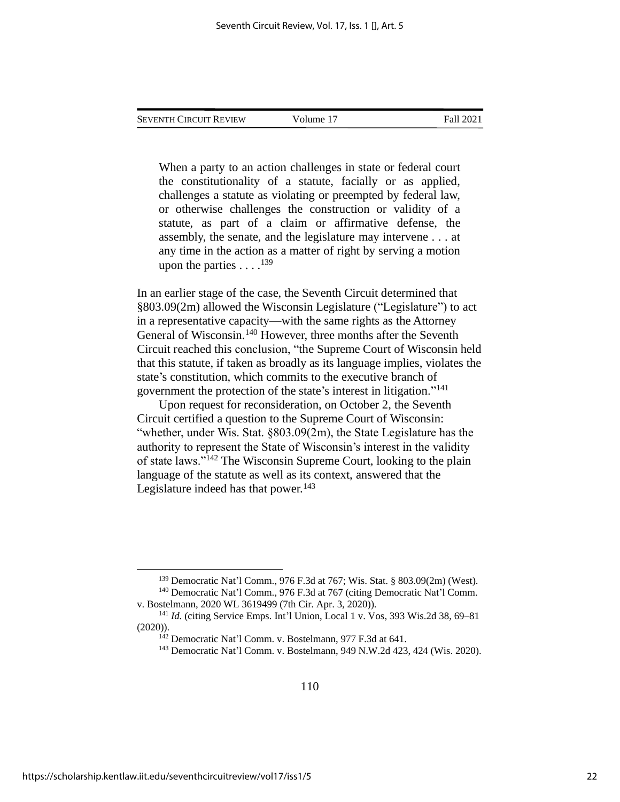When a party to an action challenges in state or federal court the constitutionality of a statute, facially or as applied, challenges a statute as violating or preempted by federal law, or otherwise challenges the construction or validity of a statute, as part of a claim or affirmative defense, the assembly, the senate, and the legislature may intervene . . . at any time in the action as a matter of right by serving a motion upon the parties  $\dots$ .<sup>139</sup>

In an earlier stage of the case, the Seventh Circuit determined that §803.09(2m) allowed the Wisconsin Legislature ("Legislature") to act in a representative capacity—with the same rights as the Attorney General of Wisconsin.<sup>140</sup> However, three months after the Seventh Circuit reached this conclusion, "the Supreme Court of Wisconsin held that this statute, if taken as broadly as its language implies, violates the state's constitution, which commits to the executive branch of government the protection of the state's interest in litigation."<sup>141</sup>

Upon request for reconsideration, on October 2, the Seventh Circuit certified a question to the Supreme Court of Wisconsin: "whether, under Wis. Stat. §803.09(2m), the State Legislature has the authority to represent the State of Wisconsin's interest in the validity of state laws."<sup>142</sup> The Wisconsin Supreme Court, looking to the plain language of the statute as well as its context, answered that the Legislature indeed has that power. $143$ 

<sup>139</sup> Democratic Nat'l Comm., 976 F.3d at 767; Wis. Stat. § 803.09(2m) (West). <sup>140</sup> Democratic Nat'l Comm., 976 F.3d at 767 (citing Democratic Nat'l Comm. v. Bostelmann, 2020 WL 3619499 (7th Cir. Apr. 3, 2020)).

<sup>141</sup> *Id.* (citing Service Emps. Int'l Union, Local 1 v. Vos, 393 Wis.2d 38, 69–81 (2020)).

<sup>142</sup> Democratic Nat'l Comm. v. Bostelmann, 977 F.3d at 641.

<sup>143</sup> Democratic Nat'l Comm. v. Bostelmann, 949 N.W.2d 423, 424 (Wis. 2020).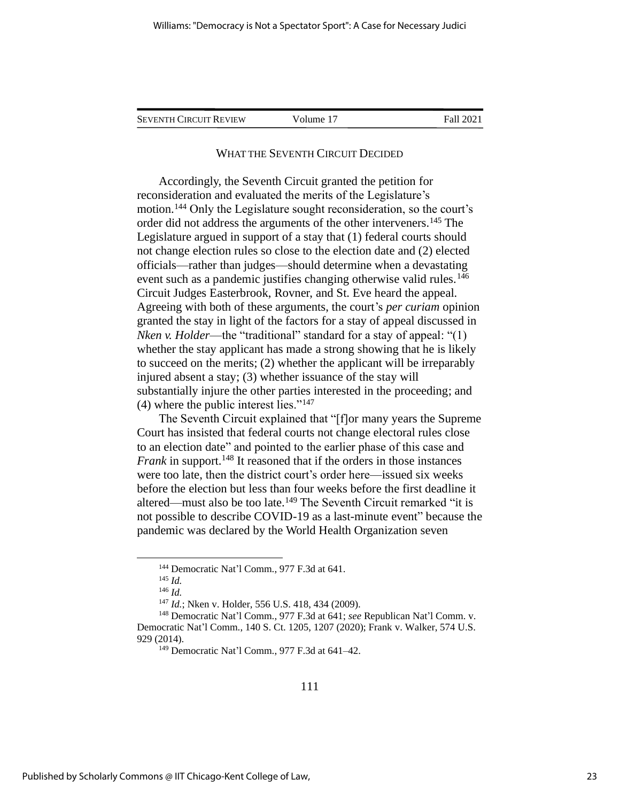SEVENTH CIRCUIT REVIEW Volume 17 Fall 2021

# WHAT THE SEVENTH CIRCUIT DECIDED

Accordingly, the Seventh Circuit granted the petition for reconsideration and evaluated the merits of the Legislature's motion.<sup>144</sup> Only the Legislature sought reconsideration, so the court's order did not address the arguments of the other interveners.<sup>145</sup> The Legislature argued in support of a stay that (1) federal courts should not change election rules so close to the election date and (2) elected officials—rather than judges—should determine when a devastating event such as a pandemic justifies changing otherwise valid rules.<sup>146</sup> Circuit Judges Easterbrook, Rovner, and St. Eve heard the appeal. Agreeing with both of these arguments, the court's *per curiam* opinion granted the stay in light of the factors for a stay of appeal discussed in *Nken v. Holder*—the "traditional" standard for a stay of appeal: "(1) whether the stay applicant has made a strong showing that he is likely to succeed on the merits; (2) whether the applicant will be irreparably injured absent a stay; (3) whether issuance of the stay will substantially injure the other parties interested in the proceeding; and (4) where the public interest lies."<sup>147</sup>

The Seventh Circuit explained that "[f]or many years the Supreme Court has insisted that federal courts not change electoral rules close to an election date" and pointed to the earlier phase of this case and *Frank* in support.<sup>148</sup> It reasoned that if the orders in those instances were too late, then the district court's order here—issued six weeks before the election but less than four weeks before the first deadline it altered—must also be too late.<sup>149</sup> The Seventh Circuit remarked "it is not possible to describe COVID-19 as a last-minute event" because the pandemic was declared by the World Health Organization seven

<sup>144</sup> Democratic Nat'l Comm., 977 F.3d at 641.

<sup>145</sup> *Id.*

<sup>146</sup> *Id.*

<sup>147</sup> *Id.*; Nken v. Holder, 556 U.S. 418, 434 (2009).

<sup>148</sup> Democratic Nat'l Comm., 977 F.3d at 641; *see* Republican Nat'l Comm. v. Democratic Nat'l Comm., 140 S. Ct. 1205, 1207 (2020); Frank v. Walker, 574 U.S. 929 (2014).

<sup>149</sup> Democratic Nat'l Comm., 977 F.3d at 641–42.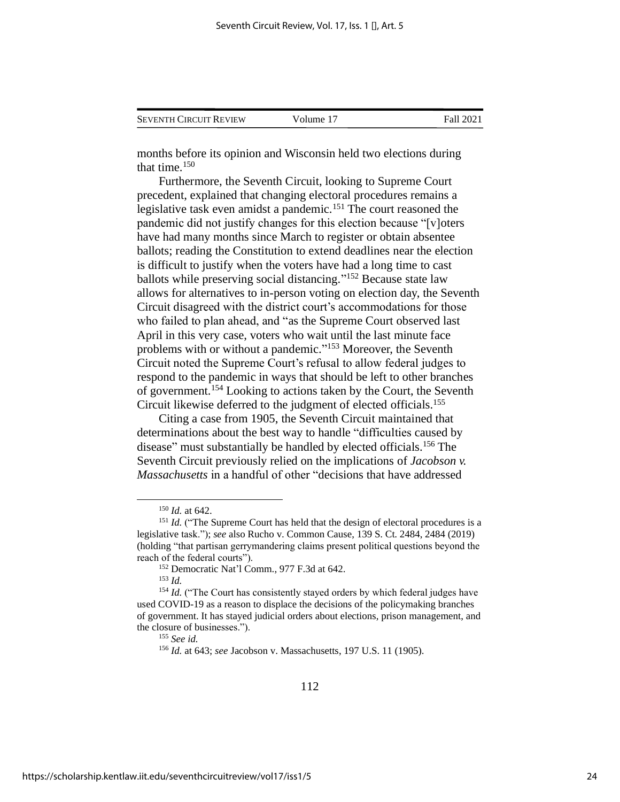| <b>SEVENTH CIRCUIT REVIEW</b> | Volume 17 | Fall 2021 |
|-------------------------------|-----------|-----------|
|                               |           |           |

months before its opinion and Wisconsin held two elections during that time.<sup>150</sup>

Furthermore, the Seventh Circuit, looking to Supreme Court precedent, explained that changing electoral procedures remains a legislative task even amidst a pandemic.<sup>151</sup> The court reasoned the pandemic did not justify changes for this election because "[v]oters have had many months since March to register or obtain absentee ballots; reading the Constitution to extend deadlines near the election is difficult to justify when the voters have had a long time to cast ballots while preserving social distancing."<sup>152</sup> Because state law allows for alternatives to in-person voting on election day, the Seventh Circuit disagreed with the district court's accommodations for those who failed to plan ahead, and "as the Supreme Court observed last April in this very case, voters who wait until the last minute face problems with or without a pandemic."<sup>153</sup> Moreover, the Seventh Circuit noted the Supreme Court's refusal to allow federal judges to respond to the pandemic in ways that should be left to other branches of government.<sup>154</sup> Looking to actions taken by the Court, the Seventh Circuit likewise deferred to the judgment of elected officials.<sup>155</sup>

Citing a case from 1905, the Seventh Circuit maintained that determinations about the best way to handle "difficulties caused by disease" must substantially be handled by elected officials.<sup>156</sup> The Seventh Circuit previously relied on the implications of *Jacobson v. Massachusetts* in a handful of other "decisions that have addressed

<sup>150</sup> *Id.* at 642.

<sup>&</sup>lt;sup>151</sup> *Id.* ("The Supreme Court has held that the design of electoral procedures is a legislative task."); *see* also Rucho v. Common Cause, 139 S. Ct. 2484, 2484 (2019) (holding "that partisan gerrymandering claims present political questions beyond the reach of the federal courts").

<sup>152</sup> Democratic Nat'l Comm., 977 F.3d at 642.

<sup>153</sup> *Id.*

<sup>&</sup>lt;sup>154</sup> *Id.* ("The Court has consistently stayed orders by which federal judges have used COVID-19 as a reason to displace the decisions of the policymaking branches of government. It has stayed judicial orders about elections, prison management, and the closure of businesses.").

<sup>155</sup> *See id.*

<sup>156</sup> *Id.* at 643; *see* Jacobson v. Massachusetts, 197 U.S. 11 (1905).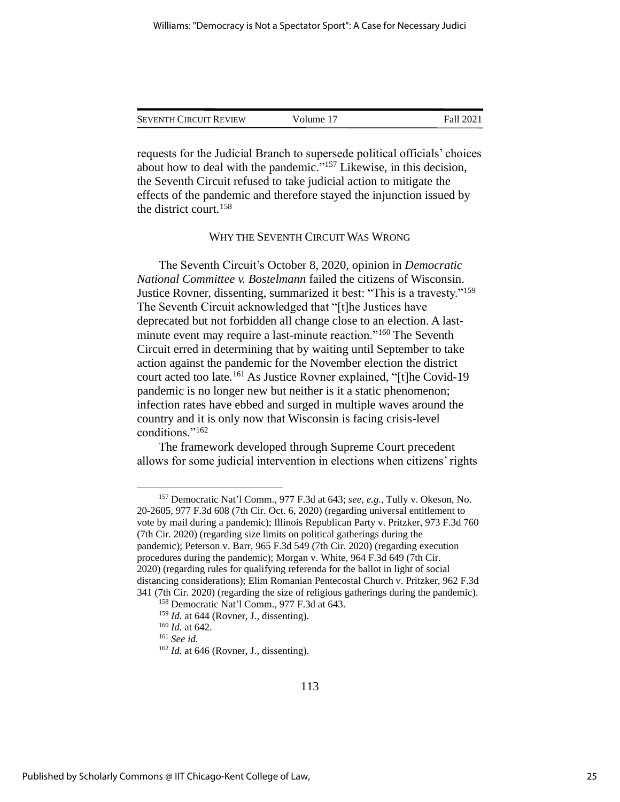| <b>SEVENTH CIRCUIT REVIEW</b> | Volume 17 | Fall 2021 |
|-------------------------------|-----------|-----------|
|                               |           |           |

requests for the Judicial Branch to supersede political officials' choices about how to deal with the pandemic."<sup>157</sup> Likewise, in this decision, the Seventh Circuit refused to take judicial action to mitigate the effects of the pandemic and therefore stayed the injunction issued by the district court.<sup>158</sup>

# WHY THE SEVENTH CIRCUIT WAS WRONG

The Seventh Circuit's October 8, 2020, opinion in *Democratic National Committee v. Bostelmann* failed the citizens of Wisconsin. Justice Rovner, dissenting, summarized it best: "This is a travesty."<sup>159</sup> The Seventh Circuit acknowledged that "[t]he Justices have deprecated but not forbidden all change close to an election. A lastminute event may require a last-minute reaction."<sup>160</sup> The Seventh Circuit erred in determining that by waiting until September to take action against the pandemic for the November election the district court acted too late.<sup>161</sup> As Justice Rovner explained, "[t]he Covid-19 pandemic is no longer new but neither is it a static phenomenon; infection rates have ebbed and surged in multiple waves around the country and it is only now that Wisconsin is facing crisis-level conditions."<sup>162</sup>

The framework developed through Supreme Court precedent allows for some judicial intervention in elections when citizens' rights

<sup>157</sup> Democratic Nat'l Comm., 977 F.3d at 643; *see, e.g.*, Tully v. Okeson, No. 20-2605, 977 F.3d 608 (7th Cir. Oct. 6, 2020) (regarding universal entitlement to vote by mail during a pandemic); Illinois Republican Party v. Pritzker, 973 F.3d 760 (7th Cir. 2020) (regarding size limits on political gatherings during the pandemic); Peterson v. Barr, 965 F.3d 549 (7th Cir. 2020) (regarding execution procedures during the pandemic); Morgan v. White, 964 F.3d 649 (7th Cir. 2020) (regarding rules for qualifying referenda for the ballot in light of social distancing considerations); Elim Romanian Pentecostal Church v. Pritzker, 962 F.3d 341 (7th Cir. 2020) (regarding the size of religious gatherings during the pandemic).

<sup>158</sup> Democratic Nat'l Comm., 977 F.3d at 643.

<sup>159</sup> *Id.* at 644 (Rovner, J., dissenting).

<sup>160</sup> *Id.* at 642.

<sup>161</sup> *See id.*

<sup>&</sup>lt;sup>162</sup> *Id.* at 646 (Rovner, J., dissenting).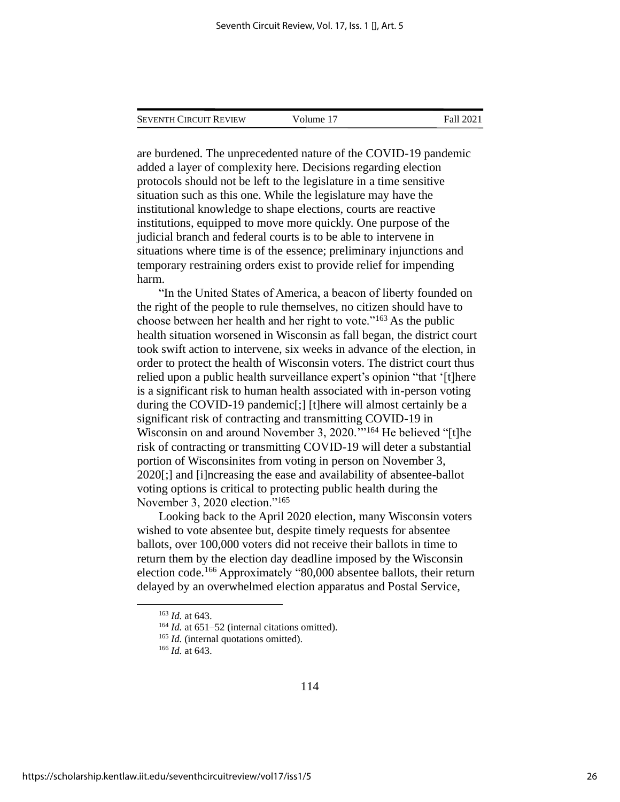|  | Seventh Circuit Review | Volume 17 | Fall 2021 |
|--|------------------------|-----------|-----------|
|--|------------------------|-----------|-----------|

are burdened. The unprecedented nature of the COVID-19 pandemic added a layer of complexity here. Decisions regarding election protocols should not be left to the legislature in a time sensitive situation such as this one. While the legislature may have the institutional knowledge to shape elections, courts are reactive institutions, equipped to move more quickly. One purpose of the judicial branch and federal courts is to be able to intervene in situations where time is of the essence; preliminary injunctions and temporary restraining orders exist to provide relief for impending harm.

"In the United States of America, a beacon of liberty founded on the right of the people to rule themselves, no citizen should have to choose between her health and her right to vote."<sup>163</sup> As the public health situation worsened in Wisconsin as fall began, the district court took swift action to intervene, six weeks in advance of the election, in order to protect the health of Wisconsin voters. The district court thus relied upon a public health surveillance expert's opinion "that '[t]here is a significant risk to human health associated with in-person voting during the COVID-19 pandemic[;] [t]here will almost certainly be a significant risk of contracting and transmitting COVID-19 in Wisconsin on and around November 3, 2020.'"<sup>164</sup> He believed "[t]he risk of contracting or transmitting COVID-19 will deter a substantial portion of Wisconsinites from voting in person on November 3, 2020[;] and [i]ncreasing the ease and availability of absentee-ballot voting options is critical to protecting public health during the November 3, 2020 election."<sup>165</sup>

Looking back to the April 2020 election, many Wisconsin voters wished to vote absentee but, despite timely requests for absentee ballots, over 100,000 voters did not receive their ballots in time to return them by the election day deadline imposed by the Wisconsin election code.<sup>166</sup> Approximately "80,000 absentee ballots, their return delayed by an overwhelmed election apparatus and Postal Service,

<sup>163</sup> *Id.* at 643.

<sup>&</sup>lt;sup>164</sup> *Id.* at 651–52 (internal citations omitted).

<sup>&</sup>lt;sup>165</sup> *Id.* (internal quotations omitted).

<sup>166</sup> *Id.* at 643.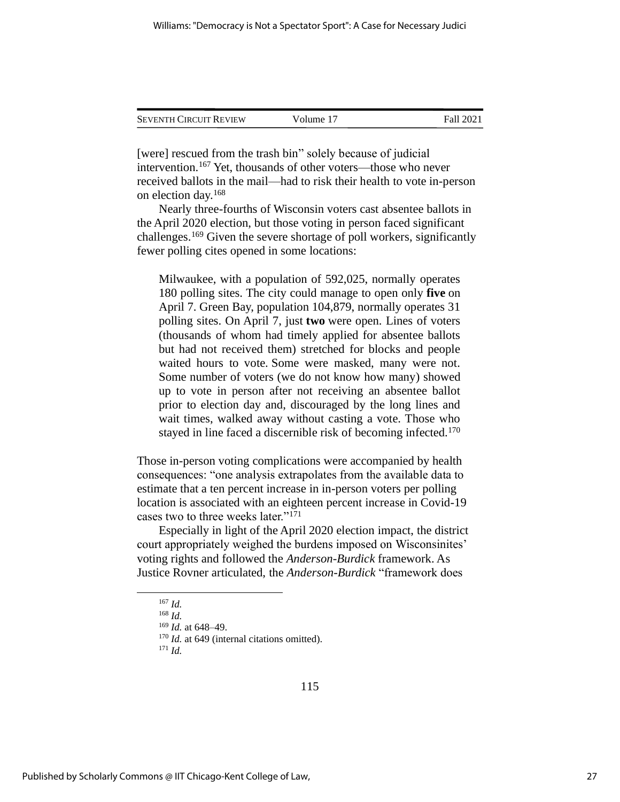| <b>SEVENTH CIRCUIT REVIEW</b> | Volume 17 | Fall 2021 |
|-------------------------------|-----------|-----------|
|                               |           |           |

[were] rescued from the trash bin" solely because of judicial intervention.<sup>167</sup> Yet, thousands of other voters—those who never received ballots in the mail—had to risk their health to vote in-person on election day.<sup>168</sup>

Nearly three-fourths of Wisconsin voters cast absentee ballots in the April 2020 election, but those voting in person faced significant challenges.<sup>169</sup> Given the severe shortage of poll workers, significantly fewer polling cites opened in some locations:

Milwaukee, with a population of 592,025, normally operates 180 polling sites. The city could manage to open only **five** on April 7. Green Bay, population 104,879, normally operates 31 polling sites. On April 7, just **two** were open. Lines of voters (thousands of whom had timely applied for absentee ballots but had not received them) stretched for blocks and people waited hours to vote. Some were masked, many were not. Some number of voters (we do not know how many) showed up to vote in person after not receiving an absentee ballot prior to election day and, discouraged by the long lines and wait times, walked away without casting a vote. Those who stayed in line faced a discernible risk of becoming infected.<sup>170</sup>

Those in-person voting complications were accompanied by health consequences: "one analysis extrapolates from the available data to estimate that a ten percent increase in in-person voters per polling location is associated with an eighteen percent increase in Covid-19 cases two to three weeks later."<sup>171</sup>

Especially in light of the April 2020 election impact, the district court appropriately weighed the burdens imposed on Wisconsinites' voting rights and followed the *Anderson-Burdick* framework. As Justice Rovner articulated, the *Anderson-Burdick* "framework does

<sup>167</sup> *Id.*

<sup>168</sup> *Id.*

<sup>169</sup> *Id.* at 648–49.

<sup>&</sup>lt;sup>170</sup> *Id.* at 649 (internal citations omitted).

 $171$  *Id.*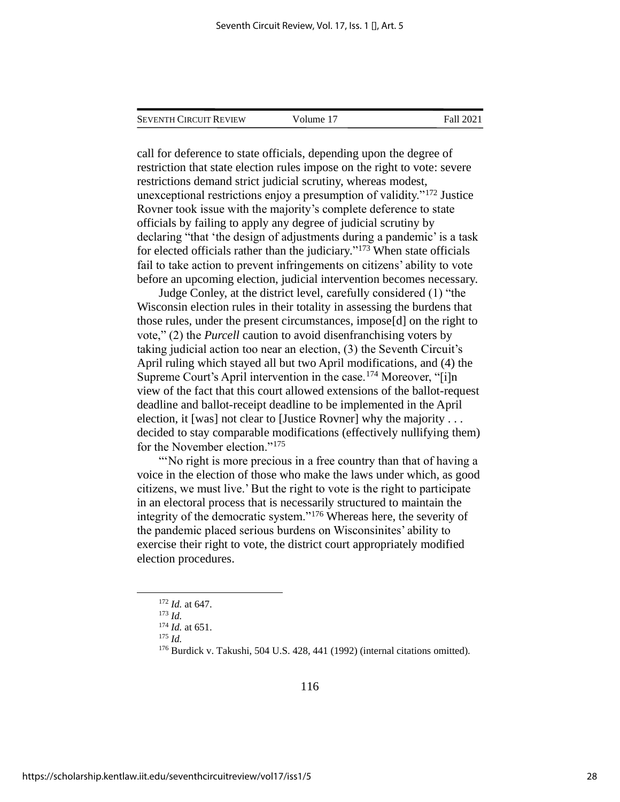SEVENTH CIRCUIT REVIEW Volume 17 Fall 2021

call for deference to state officials, depending upon the degree of restriction that state election rules impose on the right to vote: severe restrictions demand strict judicial scrutiny, whereas modest, unexceptional restrictions enjoy a presumption of validity."<sup>172</sup> Justice Rovner took issue with the majority's complete deference to state officials by failing to apply any degree of judicial scrutiny by declaring "that 'the design of adjustments during a pandemic' is a task for elected officials rather than the judiciary." <sup>173</sup> When state officials fail to take action to prevent infringements on citizens' ability to vote before an upcoming election, judicial intervention becomes necessary.

Judge Conley, at the district level, carefully considered (1) "the Wisconsin election rules in their totality in assessing the burdens that those rules, under the present circumstances, impose[d] on the right to vote," (2) the *Purcell* caution to avoid disenfranchising voters by taking judicial action too near an election, (3) the Seventh Circuit's April ruling which stayed all but two April modifications, and (4) the Supreme Court's April intervention in the case.<sup>174</sup> Moreover, "[i]n view of the fact that this court allowed extensions of the ballot-request deadline and ballot-receipt deadline to be implemented in the April election, it [was] not clear to [Justice Rovner] why the majority . . . decided to stay comparable modifications (effectively nullifying them) for the November election."<sup>175</sup>

"No right is more precious in a free country than that of having a voice in the election of those who make the laws under which, as good citizens, we must live.' But the right to vote is the right to participate in an electoral process that is necessarily structured to maintain the in the first contract produced as the severity of the democratic system."<sup>176</sup> Whereas here, the severity of the pandemic placed serious burdens on Wisconsinites' ability to exercise their right to vote, the district court appropriately modified election procedures.

<sup>172</sup> *Id.* at 647.

<sup>173</sup> *Id.* <sup>174</sup> *Id.* at 651.

<sup>175</sup> *Id.*

<sup>176</sup> Burdick v. Takushi, 504 U.S. 428, 441 (1992) (internal citations omitted).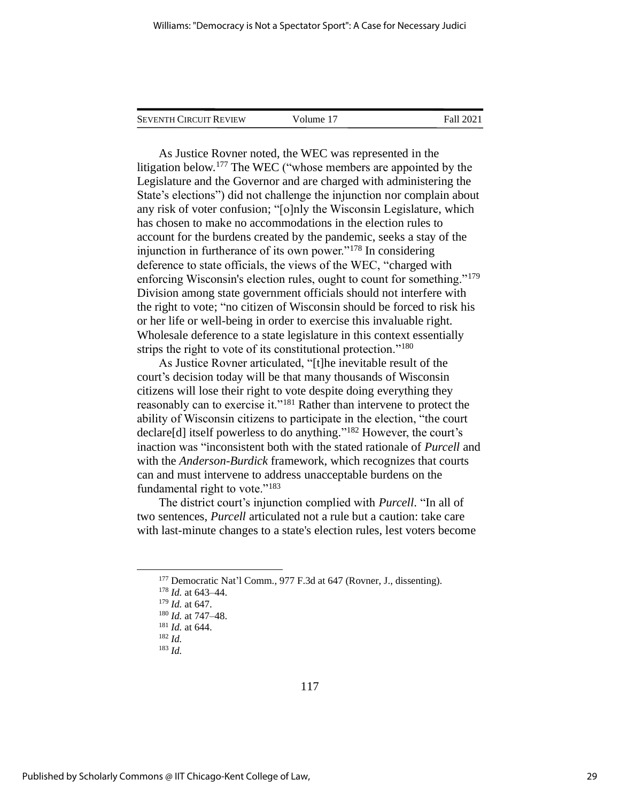| <b>SEVENTH CIRCUIT REVIEW</b> | Volume 17 | <b>Fall 2021</b> |
|-------------------------------|-----------|------------------|
|                               |           |                  |

As Justice Rovner noted, the WEC was represented in the litigation below.<sup>177</sup> The WEC ("whose members are appointed by the Legislature and the Governor and are charged with administering the State's elections") did not challenge the injunction nor complain about any risk of voter confusion; "[o]nly the Wisconsin Legislature, which has chosen to make no accommodations in the election rules to account for the burdens created by the pandemic, seeks a stay of the injunction in furtherance of its own power."<sup>178</sup> In considering deference to state officials, the views of the WEC, "charged with enforcing Wisconsin's election rules, ought to count for something."<sup>179</sup> Division among state government officials should not interfere with the right to vote; "no citizen of Wisconsin should be forced to risk his or her life or well-being in order to exercise this invaluable right. Wholesale deference to a state legislature in this context essentially strips the right to vote of its constitutional protection."<sup>180</sup>

As Justice Rovner articulated, "[t]he inevitable result of the court's decision today will be that many thousands of Wisconsin citizens will lose their right to vote despite doing everything they reasonably can to exercise it."<sup>181</sup> Rather than intervene to protect the ability of Wisconsin citizens to participate in the election, "the court declare[d] itself powerless to do anything." <sup>182</sup> However, the court's inaction was "inconsistent both with the stated rationale of *Purcell* and with the *Anderson-Burdick* framework, which recognizes that courts can and must intervene to address unacceptable burdens on the fundamental right to vote."<sup>183</sup>

The district court's injunction complied with *Purcell*. "In all of two sentences, *Purcell* articulated not a rule but a caution: take care with last-minute changes to a state's election rules, lest voters become

<sup>177</sup> Democratic Nat'l Comm., 977 F.3d at 647 (Rovner, J., dissenting).

<sup>178</sup> *Id.* at 643–44.

<sup>179</sup> *Id.* at 647.

<sup>180</sup> *Id.* at 747–48.

<sup>181</sup> *Id.* at 644. <sup>182</sup> *Id.*

<sup>183</sup> *Id.*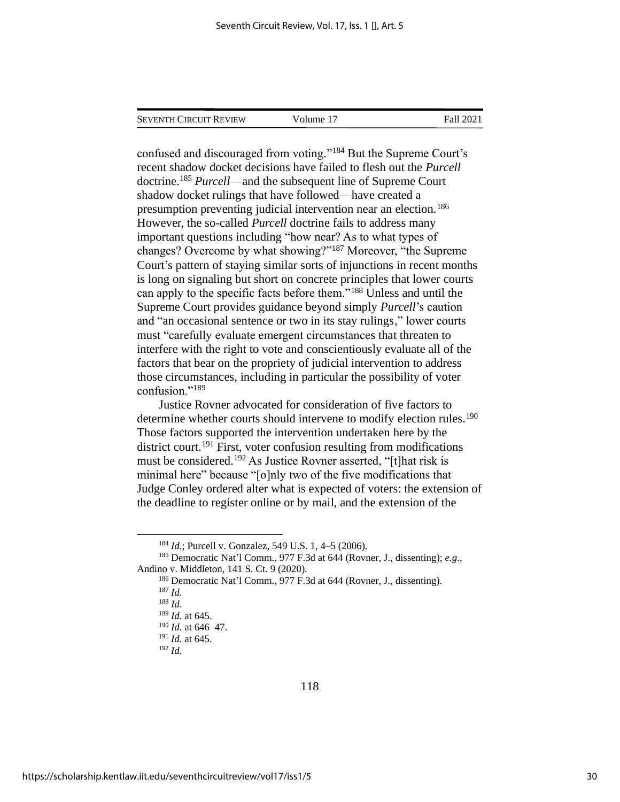| Seventh Circuit Review | Volume 17 | Fall 2021 |
|------------------------|-----------|-----------|
|                        |           |           |

confused and discouraged from voting."<sup>184</sup> But the Supreme Court's recent shadow docket decisions have failed to flesh out the *Purcell*  doctrine.<sup>185</sup> *Purcell*—and the subsequent line of Supreme Court shadow docket rulings that have followed—have created a presumption preventing judicial intervention near an election.<sup>186</sup> However, the so-called *Purcell* doctrine fails to address many important questions including "how near? As to what types of changes? Overcome by what showing?"<sup>187</sup> Moreover, "the Supreme Court's pattern of staying similar sorts of injunctions in recent months is long on signaling but short on concrete principles that lower courts can apply to the specific facts before them."<sup>188</sup> Unless and until the Supreme Court provides guidance beyond simply *Purcell*'s caution and "an occasional sentence or two in its stay rulings," lower courts must "carefully evaluate emergent circumstances that threaten to interfere with the right to vote and conscientiously evaluate all of the factors that bear on the propriety of judicial intervention to address those circumstances, including in particular the possibility of voter confusion."<sup>189</sup>

Justice Rovner advocated for consideration of five factors to determine whether courts should intervene to modify election rules.<sup>190</sup> Those factors supported the intervention undertaken here by the district court.<sup>191</sup> First, voter confusion resulting from modifications must be considered.<sup>192</sup> As Justice Rovner asserted, "[t]hat risk is minimal here" because "[o]nly two of the five modifications that Judge Conley ordered alter what is expected of voters: the extension of the deadline to register online or by mail, and the extension of the

<sup>184</sup> *Id.*; Purcell v. Gonzalez, 549 U.S. 1, 4–5 (2006).

<sup>185</sup> Democratic Nat'l Comm., 977 F.3d at 644 (Rovner, J., dissenting); *e.g.*, Andino v. Middleton, 141 S. Ct. 9 (2020).

<sup>186</sup> Democratic Nat'l Comm., 977 F.3d at 644 (Rovner, J., dissenting). <sup>187</sup> *Id.* <sup>188</sup> *Id.*

<sup>189</sup> *Id.* at 645.

<sup>190</sup> *Id.* at 646–47.

<sup>191</sup> *Id.* at 645.

<sup>192</sup> *Id.*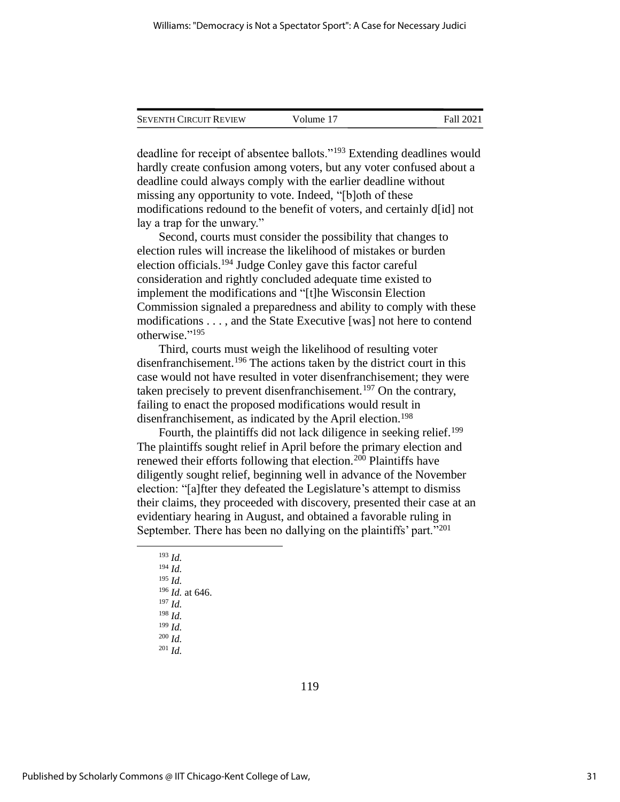| <b>SEVENTH CIRCUIT REVIEW</b> | Volume 17 | Fall 2021 |
|-------------------------------|-----------|-----------|
|                               |           |           |

deadline for receipt of absentee ballots."<sup>193</sup> Extending deadlines would hardly create confusion among voters, but any voter confused about a deadline could always comply with the earlier deadline without missing any opportunity to vote. Indeed, "[b]oth of these modifications redound to the benefit of voters, and certainly d[id] not lay a trap for the unwary."

Second, courts must consider the possibility that changes to election rules will increase the likelihood of mistakes or burden election officials.<sup>194</sup> Judge Conley gave this factor careful consideration and rightly concluded adequate time existed to implement the modifications and "[t]he Wisconsin Election Commission signaled a preparedness and ability to comply with these modifications . . . , and the State Executive [was] not here to contend otherwise." 195

Third, courts must weigh the likelihood of resulting voter disenfranchisement.<sup>196</sup> The actions taken by the district court in this case would not have resulted in voter disenfranchisement; they were taken precisely to prevent disenfranchisement.<sup>197</sup> On the contrary, failing to enact the proposed modifications would result in disenfranchisement, as indicated by the April election.<sup>198</sup>

Fourth, the plaintiffs did not lack diligence in seeking relief.<sup>199</sup> The plaintiffs sought relief in April before the primary election and renewed their efforts following that election.<sup>200</sup> Plaintiffs have diligently sought relief, beginning well in advance of the November election: "[a]fter they defeated the Legislature's attempt to dismiss their claims, they proceeded with discovery, presented their case at an evidentiary hearing in August, and obtained a favorable ruling in September. There has been no dallying on the plaintiffs' part."<sup>201</sup>

<sup>193</sup> *Id.* <sup>194</sup> *Id.* <sup>195</sup> *Id.* <sup>196</sup> *Id.* at 646. <sup>197</sup> *Id.* <sup>198</sup> *Id.* <sup>199</sup> *Id.* <sup>200</sup> *Id.* <sup>201</sup> *Id.*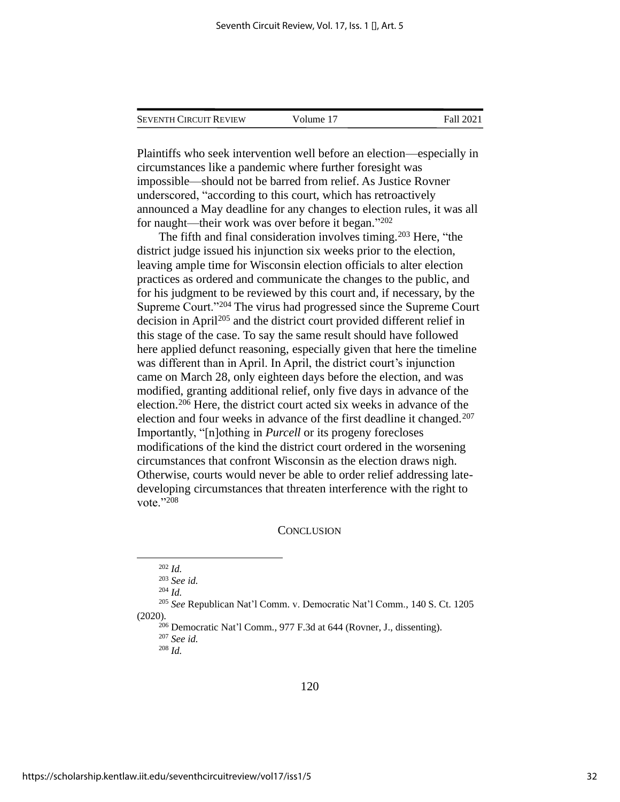| <b>SEVENTH CIRCUIT REVIEW</b> | Volume 17 | Fall 2021 |
|-------------------------------|-----------|-----------|
|                               |           |           |

Plaintiffs who seek intervention well before an election—especially in circumstances like a pandemic where further foresight was impossible—should not be barred from relief. As Justice Rovner underscored, "according to this court, which has retroactively announced a May deadline for any changes to election rules, it was all for naught—their work was over before it began." 202

The fifth and final consideration involves timing.<sup>203</sup> Here, "the district judge issued his injunction six weeks prior to the election, leaving ample time for Wisconsin election officials to alter election practices as ordered and communicate the changes to the public, and for his judgment to be reviewed by this court and, if necessary, by the Supreme Court."<sup>204</sup> The virus had progressed since the Supreme Court decision in April<sup>205</sup> and the district court provided different relief in this stage of the case. To say the same result should have followed here applied defunct reasoning, especially given that here the timeline was different than in April. In April, the district court's injunction came on March 28, only eighteen days before the election, and was modified, granting additional relief, only five days in advance of the election.<sup>206</sup> Here, the district court acted six weeks in advance of the election and four weeks in advance of the first deadline it changed.<sup>207</sup> Importantly, "[n]othing in *Purcell* or its progeny forecloses modifications of the kind the district court ordered in the worsening circumstances that confront Wisconsin as the election draws nigh. Otherwise, courts would never be able to order relief addressing latedeveloping circumstances that threaten interference with the right to vote."<sup>208</sup>

#### **CONCLUSION**

<sup>204</sup> *Id.*

<sup>205</sup> *See* Republican Nat'l Comm. v. Democratic Nat'l Comm., 140 S. Ct. 1205 (2020).

<sup>206</sup> Democratic Nat'l Comm., 977 F.3d at 644 (Rovner, J., dissenting).

<sup>207</sup> *See id.* <sup>208</sup> *Id.*

<sup>202</sup> *Id.*

<sup>203</sup> *See id.*